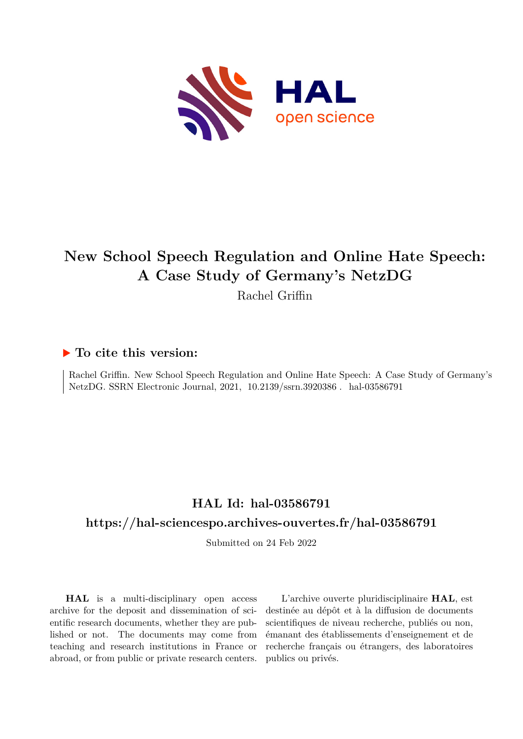

# **New School Speech Regulation and Online Hate Speech: A Case Study of Germany's NetzDG**

Rachel Griffin

# **To cite this version:**

Rachel Griffin. New School Speech Regulation and Online Hate Speech: A Case Study of Germany's NetzDG. SSRN Electronic Journal, 2021, 10.2139/ssrn.3920386. hal-03586791

# **HAL Id: hal-03586791**

# **<https://hal-sciencespo.archives-ouvertes.fr/hal-03586791>**

Submitted on 24 Feb 2022

**HAL** is a multi-disciplinary open access archive for the deposit and dissemination of scientific research documents, whether they are published or not. The documents may come from teaching and research institutions in France or abroad, or from public or private research centers.

L'archive ouverte pluridisciplinaire **HAL**, est destinée au dépôt et à la diffusion de documents scientifiques de niveau recherche, publiés ou non, émanant des établissements d'enseignement et de recherche français ou étrangers, des laboratoires publics ou privés.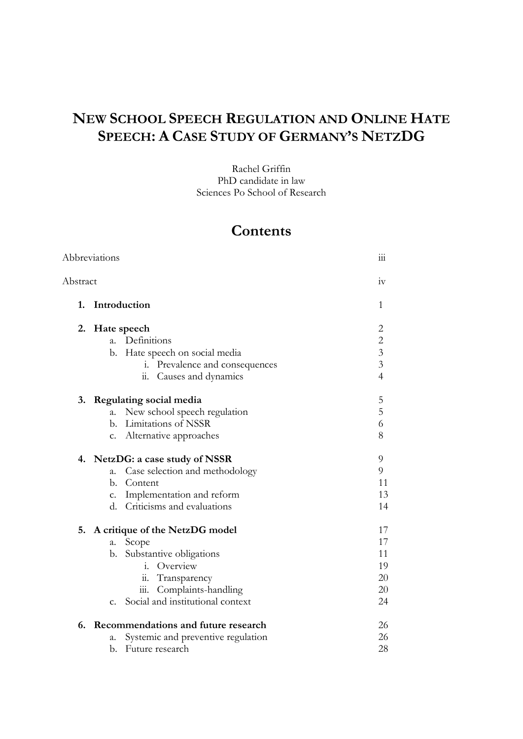# **NEW SCHOOL SPEECH REGULATION AND ONLINE HATE SPEECH: A CASE STUDY OF GERMANY'S NETZDG**

Rachel Griffin PhD candidate in law Sciences Po School of Research

# **Contents**

| Abbreviations  |                                    | 111                                                                                                                                                                                                                                                                                                                                                                                                                         |
|----------------|------------------------------------|-----------------------------------------------------------------------------------------------------------------------------------------------------------------------------------------------------------------------------------------------------------------------------------------------------------------------------------------------------------------------------------------------------------------------------|
| Abstract       |                                    | iv                                                                                                                                                                                                                                                                                                                                                                                                                          |
|                |                                    | 1                                                                                                                                                                                                                                                                                                                                                                                                                           |
|                |                                    | 2                                                                                                                                                                                                                                                                                                                                                                                                                           |
| a.             | Definitions                        | $\overline{c}$                                                                                                                                                                                                                                                                                                                                                                                                              |
| b.             | Hate speech on social media        | $\overline{3}$                                                                                                                                                                                                                                                                                                                                                                                                              |
|                | i. Prevalence and consequences     | $\mathfrak{Z}$                                                                                                                                                                                                                                                                                                                                                                                                              |
|                | Causes and dynamics<br>11.         | $\overline{4}$                                                                                                                                                                                                                                                                                                                                                                                                              |
|                |                                    | 5                                                                                                                                                                                                                                                                                                                                                                                                                           |
|                |                                    | 5                                                                                                                                                                                                                                                                                                                                                                                                                           |
| $h_{-}$        | Limitations of NSSR                | 6                                                                                                                                                                                                                                                                                                                                                                                                                           |
|                |                                    | 8                                                                                                                                                                                                                                                                                                                                                                                                                           |
|                |                                    | 9                                                                                                                                                                                                                                                                                                                                                                                                                           |
|                |                                    | 9                                                                                                                                                                                                                                                                                                                                                                                                                           |
| $\mathbf{b}$ . | Content                            | 11                                                                                                                                                                                                                                                                                                                                                                                                                          |
|                |                                    | 13                                                                                                                                                                                                                                                                                                                                                                                                                          |
|                |                                    | 14                                                                                                                                                                                                                                                                                                                                                                                                                          |
|                |                                    | 17                                                                                                                                                                                                                                                                                                                                                                                                                          |
|                |                                    | 17                                                                                                                                                                                                                                                                                                                                                                                                                          |
| b.             | Substantive obligations            | 11                                                                                                                                                                                                                                                                                                                                                                                                                          |
|                | Overview<br>1.                     | 19                                                                                                                                                                                                                                                                                                                                                                                                                          |
|                | Transparency<br>11.                | 20                                                                                                                                                                                                                                                                                                                                                                                                                          |
|                | 111.                               | 20                                                                                                                                                                                                                                                                                                                                                                                                                          |
|                |                                    | 24                                                                                                                                                                                                                                                                                                                                                                                                                          |
|                |                                    | 26                                                                                                                                                                                                                                                                                                                                                                                                                          |
| a.             | Systemic and preventive regulation | 26                                                                                                                                                                                                                                                                                                                                                                                                                          |
| b.             | Future research                    | 28                                                                                                                                                                                                                                                                                                                                                                                                                          |
|                |                                    | Introduction<br>Hate speech<br>3. Regulating social media<br>New school speech regulation<br>a.<br>c. Alternative approaches<br>4. NetzDG: a case study of NSSR<br>a. Case selection and methodology<br>c. Implementation and reform<br>d. Criticisms and evaluations<br>5. A critique of the NetzDG model<br>a. Scope<br>Complaints-handling<br>c. Social and institutional context<br>Recommendations and future research |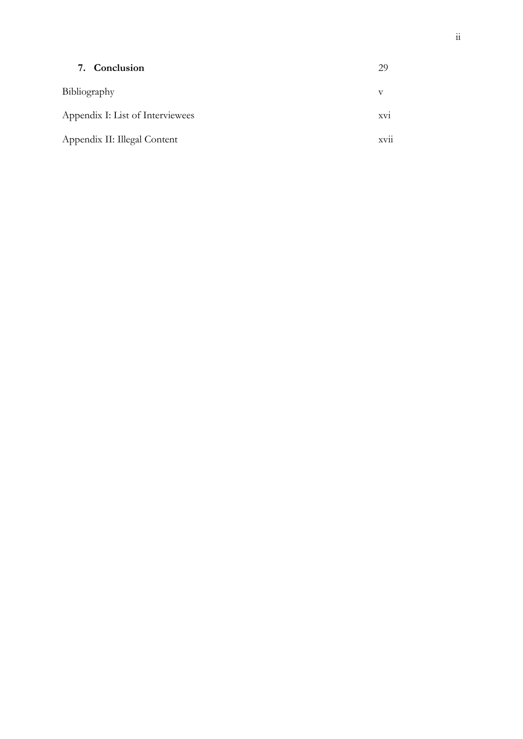| 7. Conclusion                    | 29                           |
|----------------------------------|------------------------------|
| Bibliography                     | v                            |
| Appendix I: List of Interviewees | XV1                          |
| Appendix II: Illegal Content     | $\cdot \cdot$<br><b>XV11</b> |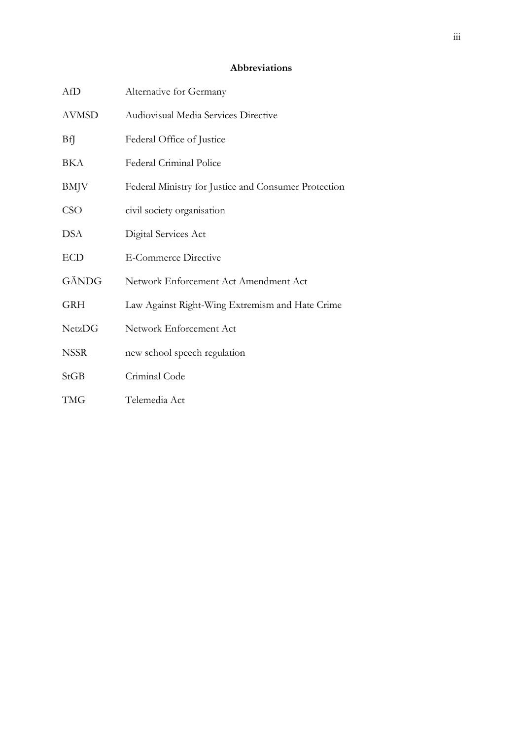### **Abbreviations**

| AfD           | Alternative for Germany                              |
|---------------|------------------------------------------------------|
| <b>AVMSD</b>  | Audiovisual Media Services Directive                 |
| BfJ           | Federal Office of Justice                            |
| BKA           | Federal Criminal Police                              |
| <b>BMJV</b>   | Federal Ministry for Justice and Consumer Protection |
| <b>CSO</b>    | civil society organisation                           |
| DSA           | Digital Services Act                                 |
| <b>ECD</b>    | <b>E-Commerce Directive</b>                          |
| GÄNDG         | Network Enforcement Act Amendment Act                |
| <b>GRH</b>    | Law Against Right-Wing Extremism and Hate Crime      |
| <b>NetzDG</b> | Network Enforcement Act                              |
| <b>NSSR</b>   | new school speech regulation                         |
| <b>StGB</b>   | Criminal Code                                        |
| <b>TMG</b>    | Telemedia Act                                        |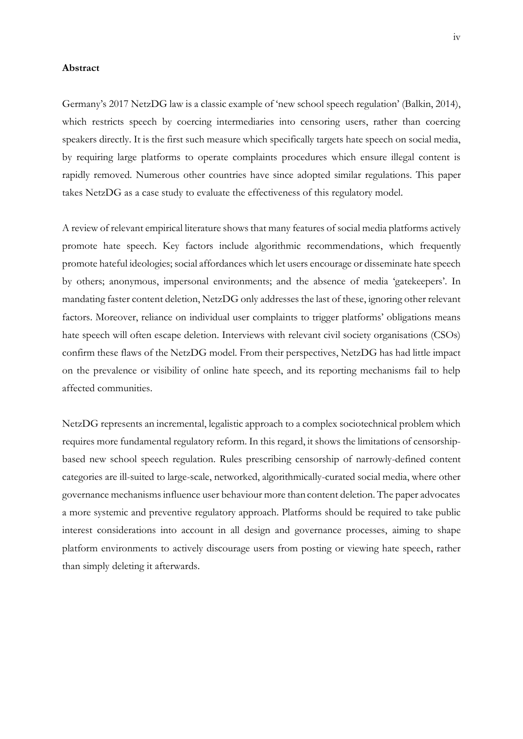#### **Abstract**

Germany's 2017 NetzDG law is a classic example of 'new school speech regulation' (Balkin, 2014), which restricts speech by coercing intermediaries into censoring users, rather than coercing speakers directly. It is the first such measure which specifically targets hate speech on social media, by requiring large platforms to operate complaints procedures which ensure illegal content is rapidly removed. Numerous other countries have since adopted similar regulations. This paper takes NetzDG as a case study to evaluate the effectiveness of this regulatory model.

A review of relevant empirical literature shows that many features of social media platforms actively promote hate speech. Key factors include algorithmic recommendations, which frequently promote hateful ideologies; social affordances which let users encourage or disseminate hate speech by others; anonymous, impersonal environments; and the absence of media 'gatekeepers'. In mandating faster content deletion, NetzDG only addresses the last of these, ignoring other relevant factors. Moreover, reliance on individual user complaints to trigger platforms' obligations means hate speech will often escape deletion. Interviews with relevant civil society organisations (CSOs) confirm these flaws of the NetzDG model. From their perspectives, NetzDG has had little impact on the prevalence or visibility of online hate speech, and its reporting mechanisms fail to help affected communities.

NetzDG represents an incremental, legalistic approach to a complex sociotechnical problem which requires more fundamental regulatory reform. In this regard, it shows the limitations of censorshipbased new school speech regulation. Rules prescribing censorship of narrowly-defined content categories are ill-suited to large-scale, networked, algorithmically-curated social media, where other governance mechanisms influence user behaviour more than content deletion. The paper advocates a more systemic and preventive regulatory approach. Platforms should be required to take public interest considerations into account in all design and governance processes, aiming to shape platform environments to actively discourage users from posting or viewing hate speech, rather than simply deleting it afterwards.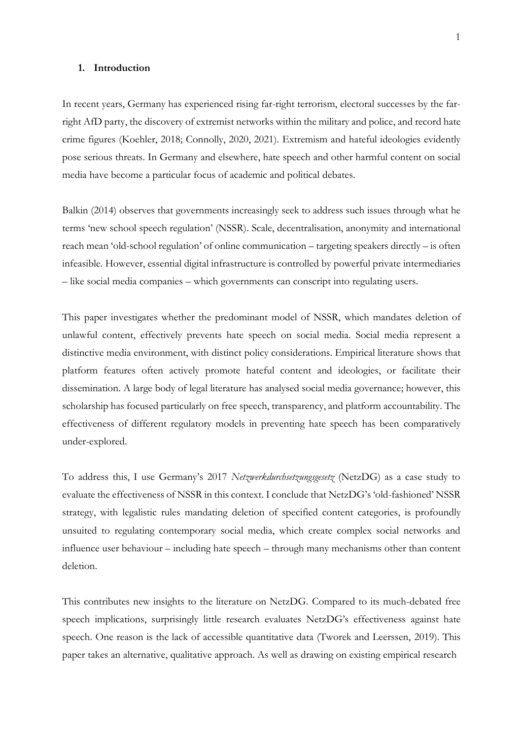#### **1. Introduction**

In recent years, Germany has experienced rising far-right terrorism, electoral successes by the farright AfD party, the discovery of extremist networks within the military and police, and record hate crime figures (Koehler, 2018; Connolly, 2020, 2021). Extremism and hateful ideologies evidently pose serious threats. In Germany and elsewhere, hate speech and other harmful content on social media have become a particular focus of academic and political debates.

Balkin (2014) observes that governments increasingly seek to address such issues through what he terms 'new school speech regulation' (NSSR). Scale, decentralisation, anonymity and international reach mean 'old-school regulation' of online communication – targeting speakers directly – is often infeasible. However, essential digital infrastructure is controlled by powerful private intermediaries – like social media companies – which governments can conscript into regulating users.

This paper investigates whether the predominant model of NSSR, which mandates deletion of unlawful content, effectively prevents hate speech on social media. Social media represent a distinctive media environment, with distinct policy considerations. Empirical literature shows that platform features often actively promote hateful content and ideologies, or facilitate their dissemination. A large body of legal literature has analysed social media governance; however, this scholarship has focused particularly on free speech, transparency, and platform accountability. The effectiveness of different regulatory models in preventing hate speech has been comparatively under-explored.

To address this, I use Germany's 2017 *Netzwerkdurchsetzungsgesetz* (NetzDG) as a case study to evaluate the effectiveness of NSSR in this context. I conclude that NetzDG's 'old-fashioned' NSSR strategy, with legalistic rules mandating deletion of specified content categories, is profoundly unsuited to regulating contemporary social media, which create complex social networks and influence user behaviour – including hate speech – through many mechanisms other than content deletion.

This contributes new insights to the literature on NetzDG. Compared to its much-debated free speech implications, surprisingly little research evaluates NetzDG's effectiveness against hate speech. One reason is the lack of accessible quantitative data (Tworek and Leerssen, 2019). This paper takes an alternative, qualitative approach. As well as drawing on existing empirical research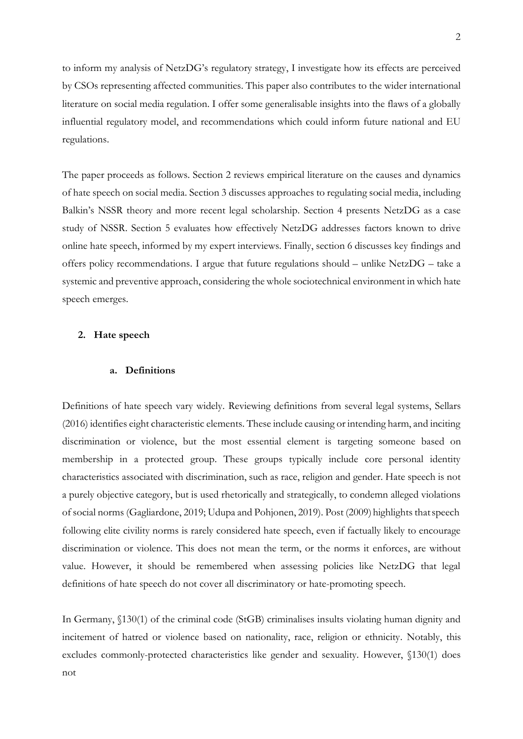to inform my analysis of NetzDG's regulatory strategy, I investigate how its effects are perceived by CSOs representing affected communities. This paper also contributes to the wider international literature on social media regulation. I offer some generalisable insights into the flaws of a globally influential regulatory model, and recommendations which could inform future national and EU regulations.

The paper proceeds as follows. Section 2 reviews empirical literature on the causes and dynamics of hate speech on social media. Section 3 discusses approaches to regulating social media, including Balkin's NSSR theory and more recent legal scholarship. Section 4 presents NetzDG as a case study of NSSR. Section 5 evaluates how effectively NetzDG addresses factors known to drive online hate speech, informed by my expert interviews. Finally, section 6 discusses key findings and offers policy recommendations. I argue that future regulations should – unlike NetzDG – take a systemic and preventive approach, considering the whole sociotechnical environment in which hate speech emerges.

#### **2. Hate speech**

#### **a. Definitions**

Definitions of hate speech vary widely. Reviewing definitions from several legal systems, Sellars (2016) identifies eight characteristic elements. These include causing or intending harm, and inciting discrimination or violence, but the most essential element is targeting someone based on membership in a protected group. These groups typically include core personal identity characteristics associated with discrimination, such as race, religion and gender. Hate speech is not a purely objective category, but is used rhetorically and strategically, to condemn alleged violations of social norms (Gagliardone, 2019; Udupa and Pohjonen, 2019). Post (2009) highlights thatspeech following elite civility norms is rarely considered hate speech, even if factually likely to encourage discrimination or violence. This does not mean the term, or the norms it enforces, are without value. However, it should be remembered when assessing policies like NetzDG that legal definitions of hate speech do not cover all discriminatory or hate-promoting speech.

In Germany, §130(1) of the criminal code (StGB) criminalises insults violating human dignity and incitement of hatred or violence based on nationality, race, religion or ethnicity. Notably, this excludes commonly-protected characteristics like gender and sexuality. However, §130(1) does not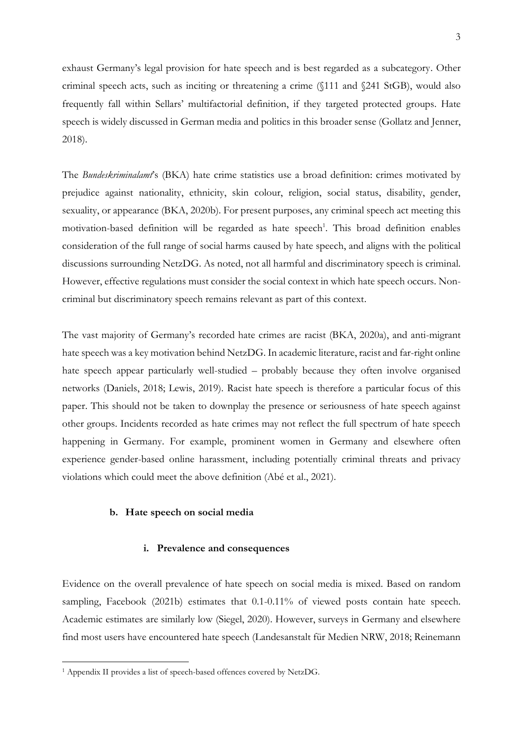exhaust Germany's legal provision for hate speech and is best regarded as a subcategory. Other criminal speech acts, such as inciting or threatening a crime (§111 and §241 StGB), would also frequently fall within Sellars' multifactorial definition, if they targeted protected groups. Hate speech is widely discussed in German media and politics in this broader sense (Gollatz and Jenner, 2018).

The *Bundeskriminalamt*'s (BKA) hate crime statistics use a broad definition: crimes motivated by prejudice against nationality, ethnicity, skin colour, religion, social status, disability, gender, sexuality, or appearance (BKA, 2020b). For present purposes, any criminal speech act meeting this motivation-based definition will be regarded as hate speech<sup>1</sup>. This broad definition enables consideration of the full range of social harms caused by hate speech, and aligns with the political discussions surrounding NetzDG. As noted, not all harmful and discriminatory speech is criminal. However, effective regulations must consider the social context in which hate speech occurs. Noncriminal but discriminatory speech remains relevant as part of this context.

The vast majority of Germany's recorded hate crimes are racist (BKA, 2020a), and anti-migrant hate speech was a key motivation behind NetzDG. In academic literature, racist and far-right online hate speech appear particularly well-studied – probably because they often involve organised networks (Daniels, 2018; Lewis, 2019). Racist hate speech is therefore a particular focus of this paper. This should not be taken to downplay the presence or seriousness of hate speech against other groups. Incidents recorded as hate crimes may not reflect the full spectrum of hate speech happening in Germany. For example, prominent women in Germany and elsewhere often experience gender-based online harassment, including potentially criminal threats and privacy violations which could meet the above definition (Abé et al., 2021).

#### **b. Hate speech on social media**

#### **i. Prevalence and consequences**

Evidence on the overall prevalence of hate speech on social media is mixed. Based on random sampling, Facebook (2021b) estimates that 0.1-0.11% of viewed posts contain hate speech. Academic estimates are similarly low (Siegel, 2020). However, surveys in Germany and elsewhere find most users have encountered hate speech (Landesanstalt für Medien NRW, 2018; Reinemann

<sup>1</sup> Appendix II provides a list of speech-based offences covered by NetzDG.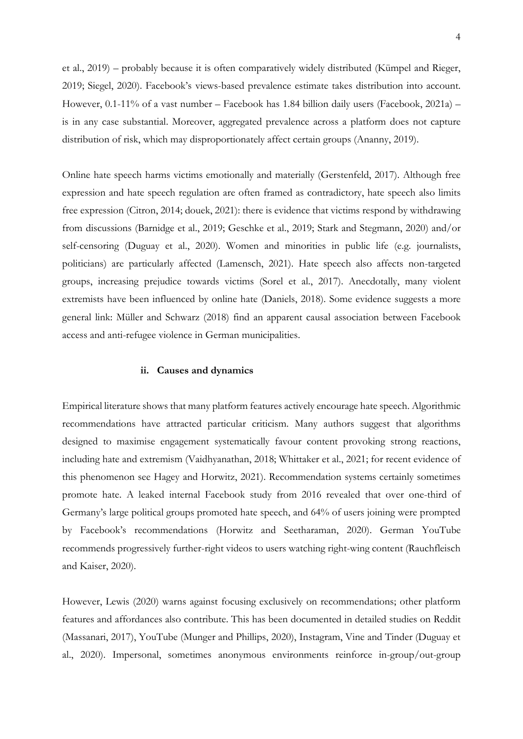et al., 2019) – probably because it is often comparatively widely distributed (Kümpel and Rieger, 2019; Siegel, 2020). Facebook's views-based prevalence estimate takes distribution into account. However, 0.1-11% of a vast number – Facebook has 1.84 billion daily users (Facebook, 2021a) – is in any case substantial. Moreover, aggregated prevalence across a platform does not capture distribution of risk, which may disproportionately affect certain groups (Ananny, 2019).

Online hate speech harms victims emotionally and materially (Gerstenfeld, 2017). Although free expression and hate speech regulation are often framed as contradictory, hate speech also limits free expression (Citron, 2014; douek, 2021): there is evidence that victims respond by withdrawing from discussions (Barnidge et al., 2019; Geschke et al., 2019; Stark and Stegmann, 2020) and/or self-censoring (Duguay et al., 2020). Women and minorities in public life (e.g. journalists, politicians) are particularly affected (Lamensch, 2021). Hate speech also affects non-targeted groups, increasing prejudice towards victims (Sorel et al., 2017). Anecdotally, many violent extremists have been influenced by online hate (Daniels, 2018). Some evidence suggests a more general link: Müller and Schwarz (2018) find an apparent causal association between Facebook access and anti-refugee violence in German municipalities.

#### **ii. Causes and dynamics**

Empirical literature shows that many platform features actively encourage hate speech. Algorithmic recommendations have attracted particular criticism. Many authors suggest that algorithms designed to maximise engagement systematically favour content provoking strong reactions, including hate and extremism (Vaidhyanathan, 2018; Whittaker et al., 2021; for recent evidence of this phenomenon see Hagey and Horwitz, 2021). Recommendation systems certainly sometimes promote hate. A leaked internal Facebook study from 2016 revealed that over one-third of Germany's large political groups promoted hate speech, and 64% of users joining were prompted by Facebook's recommendations (Horwitz and Seetharaman, 2020). German YouTube recommends progressively further-right videos to users watching right-wing content (Rauchfleisch and Kaiser, 2020).

However, Lewis (2020) warns against focusing exclusively on recommendations; other platform features and affordances also contribute. This has been documented in detailed studies on Reddit (Massanari, 2017), YouTube (Munger and Phillips, 2020), Instagram, Vine and Tinder (Duguay et al., 2020). Impersonal, sometimes anonymous environments reinforce in-group/out-group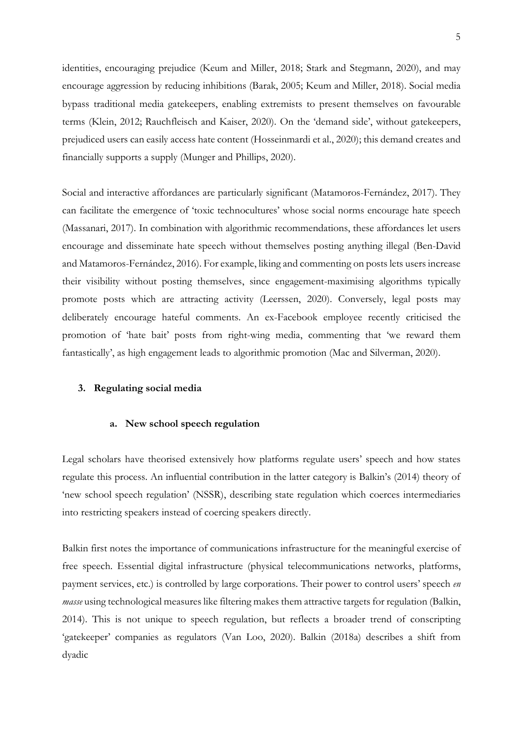identities, encouraging prejudice (Keum and Miller, 2018; Stark and Stegmann, 2020), and may encourage aggression by reducing inhibitions (Barak, 2005; Keum and Miller, 2018). Social media bypass traditional media gatekeepers, enabling extremists to present themselves on favourable terms (Klein, 2012; Rauchfleisch and Kaiser, 2020). On the 'demand side', without gatekeepers, prejudiced users can easily access hate content (Hosseinmardi et al., 2020); this demand creates and financially supports a supply (Munger and Phillips, 2020).

Social and interactive affordances are particularly significant (Matamoros-Fernández, 2017). They can facilitate the emergence of 'toxic technocultures' whose social norms encourage hate speech (Massanari, 2017). In combination with algorithmic recommendations, these affordances let users encourage and disseminate hate speech without themselves posting anything illegal (Ben-David and Matamoros-Fernández, 2016). For example, liking and commenting on posts lets users increase their visibility without posting themselves, since engagement-maximising algorithms typically promote posts which are attracting activity (Leerssen, 2020). Conversely, legal posts may deliberately encourage hateful comments. An ex-Facebook employee recently criticised the promotion of 'hate bait' posts from right-wing media, commenting that 'we reward them fantastically', as high engagement leads to algorithmic promotion (Mac and Silverman, 2020).

## **3. Regulating social media**

#### **a. New school speech regulation**

Legal scholars have theorised extensively how platforms regulate users' speech and how states regulate this process. An influential contribution in the latter category is Balkin's (2014) theory of 'new school speech regulation' (NSSR), describing state regulation which coerces intermediaries into restricting speakers instead of coercing speakers directly.

Balkin first notes the importance of communications infrastructure for the meaningful exercise of free speech. Essential digital infrastructure (physical telecommunications networks, platforms, payment services, etc.) is controlled by large corporations. Their power to control users' speech *en masse* using technological measures like filtering makes them attractive targets for regulation (Balkin, 2014). This is not unique to speech regulation, but reflects a broader trend of conscripting 'gatekeeper' companies as regulators (Van Loo, 2020). Balkin (2018a) describes a shift from dyadic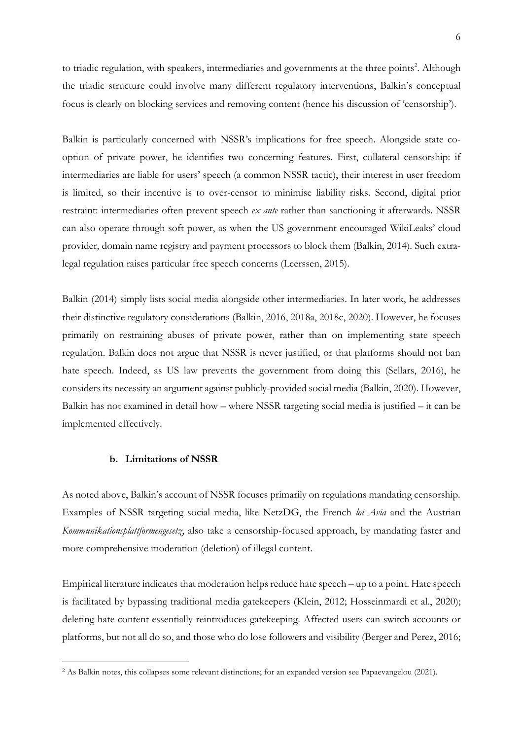to triadic regulation, with speakers, intermediaries and governments at the three points<sup>2</sup>. Although the triadic structure could involve many different regulatory interventions, Balkin's conceptual focus is clearly on blocking services and removing content (hence his discussion of 'censorship').

Balkin is particularly concerned with NSSR's implications for free speech. Alongside state cooption of private power, he identifies two concerning features. First, collateral censorship: if intermediaries are liable for users' speech (a common NSSR tactic), their interest in user freedom is limited, so their incentive is to over-censor to minimise liability risks. Second, digital prior restraint: intermediaries often prevent speech *ex ante* rather than sanctioning it afterwards. NSSR can also operate through soft power, as when the US government encouraged WikiLeaks' cloud provider, domain name registry and payment processors to block them (Balkin, 2014). Such extralegal regulation raises particular free speech concerns (Leerssen, 2015).

Balkin (2014) simply lists social media alongside other intermediaries. In later work, he addresses their distinctive regulatory considerations (Balkin, 2016, 2018a, 2018c, 2020). However, he focuses primarily on restraining abuses of private power, rather than on implementing state speech regulation. Balkin does not argue that NSSR is never justified, or that platforms should not ban hate speech. Indeed, as US law prevents the government from doing this (Sellars, 2016), he considers its necessity an argument against publicly-provided social media (Balkin, 2020). However, Balkin has not examined in detail how – where NSSR targeting social media is justified – it can be implemented effectively.

### **b. Limitations of NSSR**

As noted above, Balkin's account of NSSR focuses primarily on regulations mandating censorship. Examples of NSSR targeting social media, like NetzDG, the French *loi Avia* and the Austrian *Kommunikationsplattformengesetz*, also take a censorship-focused approach, by mandating faster and more comprehensive moderation (deletion) of illegal content.

Empirical literature indicates that moderation helps reduce hate speech – up to a point. Hate speech is facilitated by bypassing traditional media gatekeepers (Klein, 2012; Hosseinmardi et al., 2020); deleting hate content essentially reintroduces gatekeeping. Affected users can switch accounts or platforms, but not all do so, and those who do lose followers and visibility (Berger and Perez, 2016;

<sup>&</sup>lt;sup>2</sup> As Balkin notes, this collapses some relevant distinctions; for an expanded version see Papaevangelou (2021).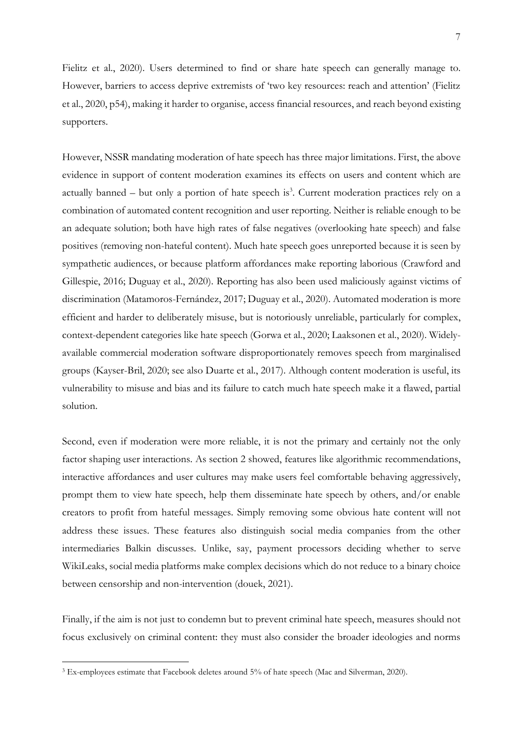Fielitz et al., 2020). Users determined to find or share hate speech can generally manage to. However, barriers to access deprive extremists of 'two key resources: reach and attention' (Fielitz et al., 2020, p54), making it harder to organise, access financial resources, and reach beyond existing supporters.

However, NSSR mandating moderation of hate speech has three major limitations. First, the above evidence in support of content moderation examines its effects on users and content which are actually banned – but only a portion of hate speech is<sup>3</sup>. Current moderation practices rely on a combination of automated content recognition and user reporting. Neither is reliable enough to be an adequate solution; both have high rates of false negatives (overlooking hate speech) and false positives (removing non-hateful content). Much hate speech goes unreported because it is seen by sympathetic audiences, or because platform affordances make reporting laborious (Crawford and Gillespie, 2016; Duguay et al., 2020). Reporting has also been used maliciously against victims of discrimination (Matamoros-Fernández, 2017; Duguay et al., 2020). Automated moderation is more efficient and harder to deliberately misuse, but is notoriously unreliable, particularly for complex, context-dependent categories like hate speech (Gorwa et al., 2020; Laaksonen et al., 2020). Widelyavailable commercial moderation software disproportionately removes speech from marginalised groups (Kayser-Bril, 2020; see also Duarte et al., 2017). Although content moderation is useful, its vulnerability to misuse and bias and its failure to catch much hate speech make it a flawed, partial solution.

Second, even if moderation were more reliable, it is not the primary and certainly not the only factor shaping user interactions. As section 2 showed, features like algorithmic recommendations, interactive affordances and user cultures may make users feel comfortable behaving aggressively, prompt them to view hate speech, help them disseminate hate speech by others, and/or enable creators to profit from hateful messages. Simply removing some obvious hate content will not address these issues. These features also distinguish social media companies from the other intermediaries Balkin discusses. Unlike, say, payment processors deciding whether to serve WikiLeaks, social media platforms make complex decisions which do not reduce to a binary choice between censorship and non-intervention (douek, 2021).

Finally, if the aim is not just to condemn but to prevent criminal hate speech, measures should not focus exclusively on criminal content: they must also consider the broader ideologies and norms

<sup>&</sup>lt;sup>3</sup> Ex-employees estimate that Facebook deletes around 5% of hate speech (Mac and Silverman, 2020).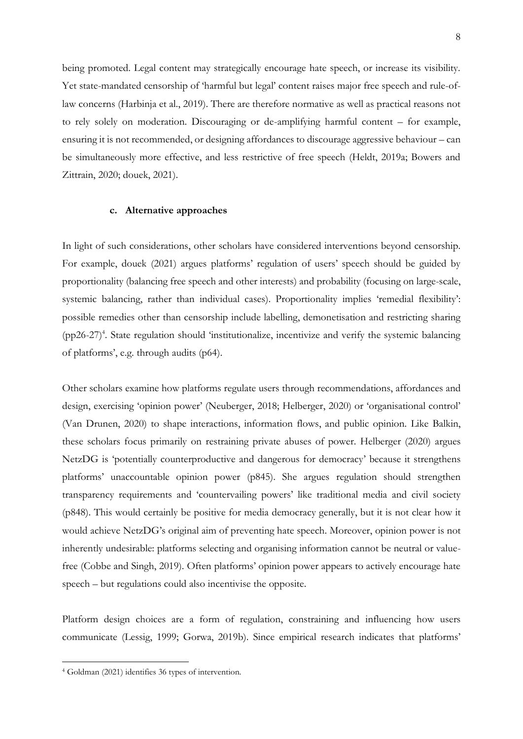being promoted. Legal content may strategically encourage hate speech, or increase its visibility. Yet state-mandated censorship of 'harmful but legal' content raises major free speech and rule-oflaw concerns (Harbinja et al., 2019). There are therefore normative as well as practical reasons not to rely solely on moderation. Discouraging or de-amplifying harmful content – for example, ensuring it is not recommended, or designing affordances to discourage aggressive behaviour – can be simultaneously more effective, and less restrictive of free speech (Heldt, 2019a; Bowers and Zittrain, 2020; douek, 2021).

#### **c. Alternative approaches**

In light of such considerations, other scholars have considered interventions beyond censorship. For example, douek (2021) argues platforms' regulation of users' speech should be guided by proportionality (balancing free speech and other interests) and probability (focusing on large-scale, systemic balancing, rather than individual cases). Proportionality implies 'remedial flexibility': possible remedies other than censorship include labelling, demonetisation and restricting sharing (pp26-27) 4 . State regulation should 'institutionalize, incentivize and verify the systemic balancing of platforms', e.g. through audits (p64).

Other scholars examine how platforms regulate users through recommendations, affordances and design, exercising 'opinion power' (Neuberger, 2018; Helberger, 2020) or 'organisational control' (Van Drunen, 2020) to shape interactions, information flows, and public opinion. Like Balkin, these scholars focus primarily on restraining private abuses of power. Helberger (2020) argues NetzDG is 'potentially counterproductive and dangerous for democracy' because it strengthens platforms' unaccountable opinion power (p845). She argues regulation should strengthen transparency requirements and 'countervailing powers' like traditional media and civil society (p848). This would certainly be positive for media democracy generally, but it is not clear how it would achieve NetzDG's original aim of preventing hate speech. Moreover, opinion power is not inherently undesirable: platforms selecting and organising information cannot be neutral or valuefree (Cobbe and Singh, 2019). Often platforms' opinion power appears to actively encourage hate speech – but regulations could also incentivise the opposite.

Platform design choices are a form of regulation, constraining and influencing how users communicate (Lessig, 1999; Gorwa, 2019b). Since empirical research indicates that platforms'

<sup>4</sup> Goldman (2021) identifies 36 types of intervention.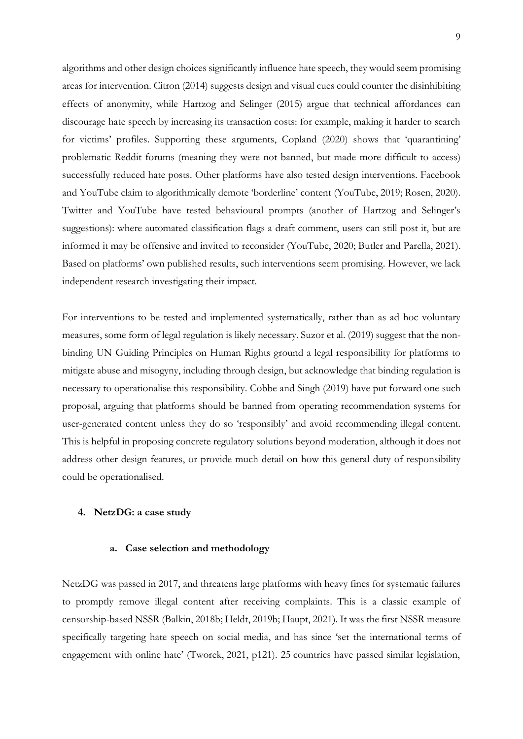algorithms and other design choices significantly influence hate speech, they would seem promising areas for intervention. Citron (2014) suggests design and visual cues could counter the disinhibiting effects of anonymity, while Hartzog and Selinger (2015) argue that technical affordances can discourage hate speech by increasing its transaction costs: for example, making it harder to search for victims' profiles. Supporting these arguments, Copland (2020) shows that 'quarantining' problematic Reddit forums (meaning they were not banned, but made more difficult to access) successfully reduced hate posts. Other platforms have also tested design interventions. Facebook and YouTube claim to algorithmically demote 'borderline' content (YouTube, 2019; Rosen, 2020). Twitter and YouTube have tested behavioural prompts (another of Hartzog and Selinger's suggestions): where automated classification flags a draft comment, users can still post it, but are informed it may be offensive and invited to reconsider (YouTube, 2020; Butler and Parella, 2021). Based on platforms' own published results, such interventions seem promising. However, we lack independent research investigating their impact.

For interventions to be tested and implemented systematically, rather than as ad hoc voluntary measures, some form of legal regulation is likely necessary. Suzor et al. (2019) suggest that the nonbinding UN Guiding Principles on Human Rights ground a legal responsibility for platforms to mitigate abuse and misogyny, including through design, but acknowledge that binding regulation is necessary to operationalise this responsibility. Cobbe and Singh (2019) have put forward one such proposal, arguing that platforms should be banned from operating recommendation systems for user-generated content unless they do so 'responsibly' and avoid recommending illegal content. This is helpful in proposing concrete regulatory solutions beyond moderation, although it does not address other design features, or provide much detail on how this general duty of responsibility could be operationalised.

#### **4. NetzDG: a case study**

#### **a. Case selection and methodology**

NetzDG was passed in 2017, and threatens large platforms with heavy fines for systematic failures to promptly remove illegal content after receiving complaints. This is a classic example of censorship-based NSSR (Balkin, 2018b; Heldt, 2019b; Haupt, 2021). It was the first NSSR measure specifically targeting hate speech on social media, and has since 'set the international terms of engagement with online hate' (Tworek, 2021, p121). 25 countries have passed similar legislation,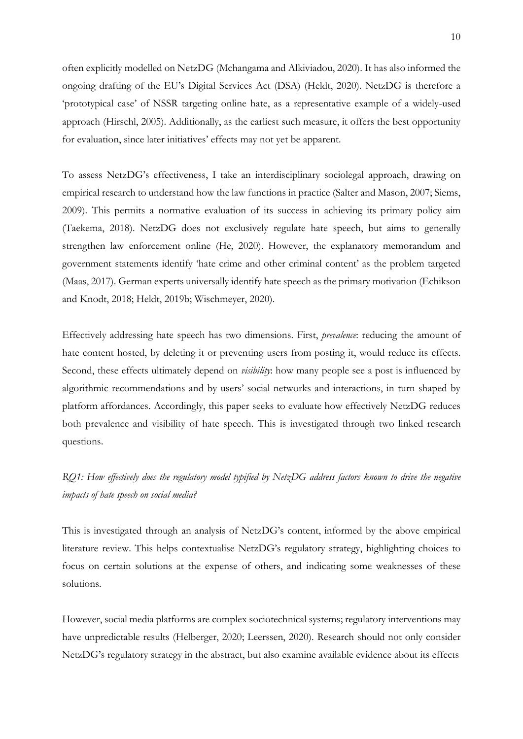often explicitly modelled on NetzDG (Mchangama and Alkiviadou, 2020). It has also informed the ongoing drafting of the EU's Digital Services Act (DSA) (Heldt, 2020). NetzDG is therefore a 'prototypical case' of NSSR targeting online hate, as a representative example of a widely-used approach (Hirschl, 2005). Additionally, as the earliest such measure, it offers the best opportunity for evaluation, since later initiatives' effects may not yet be apparent.

To assess NetzDG's effectiveness, I take an interdisciplinary sociolegal approach, drawing on empirical research to understand how the law functions in practice (Salter and Mason, 2007; Siems, 2009). This permits a normative evaluation of its success in achieving its primary policy aim (Taekema, 2018). NetzDG does not exclusively regulate hate speech, but aims to generally strengthen law enforcement online (He, 2020). However, the explanatory memorandum and government statements identify 'hate crime and other criminal content' as the problem targeted (Maas, 2017). German experts universally identify hate speech as the primary motivation (Echikson and Knodt, 2018; Heldt, 2019b; Wischmeyer, 2020).

Effectively addressing hate speech has two dimensions. First, *prevalence*: reducing the amount of hate content hosted, by deleting it or preventing users from posting it, would reduce its effects. Second, these effects ultimately depend on *visibility*: how many people see a post is influenced by algorithmic recommendations and by users' social networks and interactions, in turn shaped by platform affordances. Accordingly, this paper seeks to evaluate how effectively NetzDG reduces both prevalence and visibility of hate speech. This is investigated through two linked research questions.

*RQ1: How effectively does the regulatory model typified by NetzDG address factors known to drive the negative impacts of hate speech on social media?* 

This is investigated through an analysis of NetzDG's content, informed by the above empirical literature review. This helps contextualise NetzDG's regulatory strategy, highlighting choices to focus on certain solutions at the expense of others, and indicating some weaknesses of these solutions.

However, social media platforms are complex sociotechnical systems; regulatory interventions may have unpredictable results (Helberger, 2020; Leerssen, 2020). Research should not only consider NetzDG's regulatory strategy in the abstract, but also examine available evidence about its effects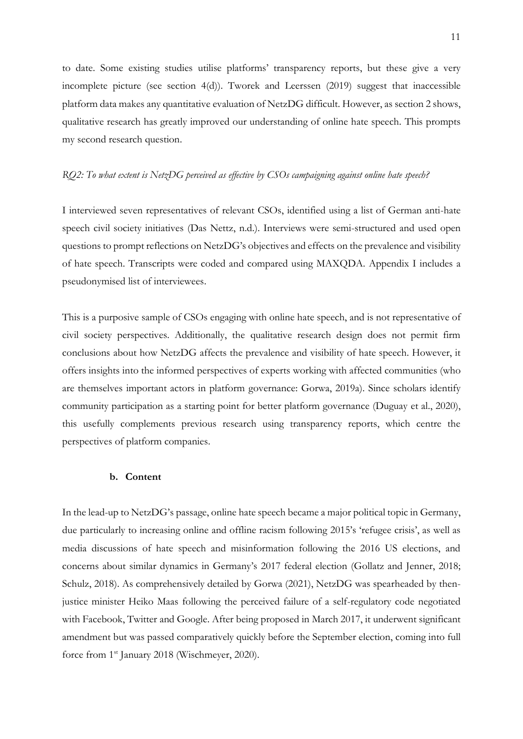to date. Some existing studies utilise platforms' transparency reports, but these give a very incomplete picture (see section 4(d)). Tworek and Leerssen (2019) suggest that inaccessible platform data makes any quantitative evaluation of NetzDG difficult. However, as section 2 shows, qualitative research has greatly improved our understanding of online hate speech. This prompts my second research question.

#### *RQ2: To what extent is NetzDG perceived as effective by CSOs campaigning against online hate speech?*

I interviewed seven representatives of relevant CSOs, identified using a list of German anti-hate speech civil society initiatives (Das Nettz, n.d.). Interviews were semi-structured and used open questions to prompt reflections on NetzDG's objectives and effects on the prevalence and visibility of hate speech. Transcripts were coded and compared using MAXQDA. Appendix I includes a pseudonymised list of interviewees.

This is a purposive sample of CSOs engaging with online hate speech, and is not representative of civil society perspectives. Additionally, the qualitative research design does not permit firm conclusions about how NetzDG affects the prevalence and visibility of hate speech. However, it offers insights into the informed perspectives of experts working with affected communities (who are themselves important actors in platform governance: Gorwa, 2019a). Since scholars identify community participation as a starting point for better platform governance (Duguay et al., 2020), this usefully complements previous research using transparency reports, which centre the perspectives of platform companies.

#### **b. Content**

In the lead-up to NetzDG's passage, online hate speech became a major political topic in Germany, due particularly to increasing online and offline racism following 2015's 'refugee crisis', as well as media discussions of hate speech and misinformation following the 2016 US elections, and concerns about similar dynamics in Germany's 2017 federal election (Gollatz and Jenner, 2018; Schulz, 2018). As comprehensively detailed by Gorwa (2021), NetzDG was spearheaded by thenjustice minister Heiko Maas following the perceived failure of a self-regulatory code negotiated with Facebook, Twitter and Google. After being proposed in March 2017, it underwent significant amendment but was passed comparatively quickly before the September election, coming into full force from 1<sup>st</sup> January 2018 (Wischmeyer, 2020).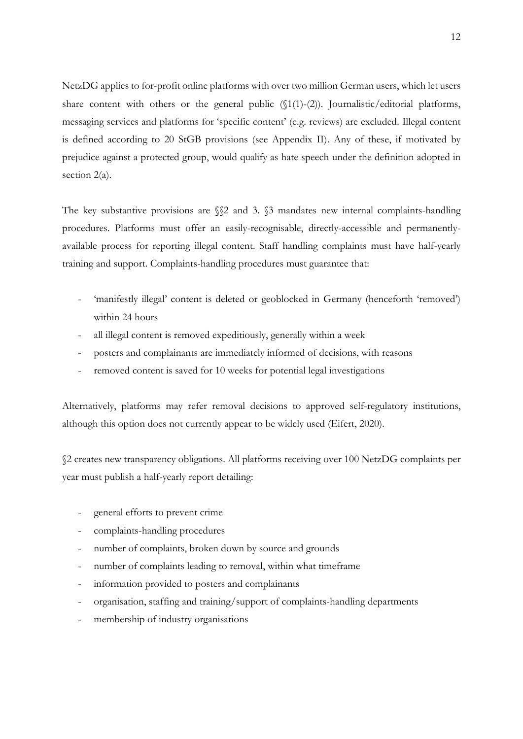NetzDG applies to for-profit online platforms with over two million German users, which let users share content with others or the general public  $(\{1(1)-(2)\})$ . Journalistic/editorial platforms, messaging services and platforms for 'specific content' (e.g. reviews) are excluded. Illegal content is defined according to 20 StGB provisions (see Appendix II). Any of these, if motivated by prejudice against a protected group, would qualify as hate speech under the definition adopted in section 2(a).

The key substantive provisions are  $\$ 2 and 3.  $\$ 3 mandates new internal complaints-handling procedures. Platforms must offer an easily-recognisable, directly-accessible and permanentlyavailable process for reporting illegal content. Staff handling complaints must have half-yearly training and support. Complaints-handling procedures must guarantee that:

- 'manifestly illegal' content is deleted or geoblocked in Germany (henceforth 'removed') within 24 hours
- all illegal content is removed expeditiously, generally within a week
- posters and complainants are immediately informed of decisions, with reasons
- removed content is saved for 10 weeks for potential legal investigations

Alternatively, platforms may refer removal decisions to approved self-regulatory institutions, although this option does not currently appear to be widely used (Eifert, 2020).

§2 creates new transparency obligations. All platforms receiving over 100 NetzDG complaints per year must publish a half-yearly report detailing:

- general efforts to prevent crime
- complaints-handling procedures
- number of complaints, broken down by source and grounds
- number of complaints leading to removal, within what timeframe
- information provided to posters and complainants
- organisation, staffing and training/support of complaints-handling departments
- membership of industry organisations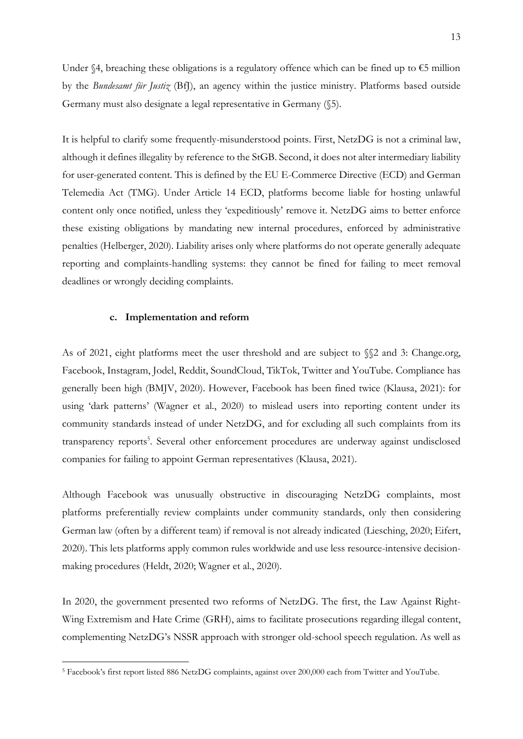Under §4, breaching these obligations is a regulatory offence which can be fined up to  $\epsilon$ 5 million by the *Bundesamt für Justiz* (BfJ), an agency within the justice ministry. Platforms based outside Germany must also designate a legal representative in Germany (§5).

It is helpful to clarify some frequently-misunderstood points. First, NetzDG is not a criminal law, although it defines illegality by reference to the StGB. Second, it does not alter intermediary liability for user-generated content. This is defined by the EU E-Commerce Directive (ECD) and German Telemedia Act (TMG). Under Article 14 ECD, platforms become liable for hosting unlawful content only once notified, unless they 'expeditiously' remove it. NetzDG aims to better enforce these existing obligations by mandating new internal procedures, enforced by administrative penalties (Helberger, 2020). Liability arises only where platforms do not operate generally adequate reporting and complaints-handling systems: they cannot be fined for failing to meet removal deadlines or wrongly deciding complaints.

#### **c. Implementation and reform**

As of 2021, eight platforms meet the user threshold and are subject to §§2 and 3: Change.org, Facebook, Instagram, Jodel, Reddit, SoundCloud, TikTok, Twitter and YouTube. Compliance has generally been high (BMJV, 2020). However, Facebook has been fined twice (Klausa, 2021): for using 'dark patterns' (Wagner et al., 2020) to mislead users into reporting content under its community standards instead of under NetzDG, and for excluding all such complaints from its transparency reports<sup>5</sup>. Several other enforcement procedures are underway against undisclosed companies for failing to appoint German representatives (Klausa, 2021).

Although Facebook was unusually obstructive in discouraging NetzDG complaints, most platforms preferentially review complaints under community standards, only then considering German law (often by a different team) if removal is not already indicated (Liesching, 2020; Eifert, 2020). This lets platforms apply common rules worldwide and use less resource-intensive decisionmaking procedures (Heldt, 2020; Wagner et al., 2020).

In 2020, the government presented two reforms of NetzDG. The first, the Law Against Right-Wing Extremism and Hate Crime (GRH), aims to facilitate prosecutions regarding illegal content, complementing NetzDG's NSSR approach with stronger old-school speech regulation. As well as

<sup>5</sup> Facebook's first report listed 886 NetzDG complaints, against over 200,000 each from Twitter and YouTube.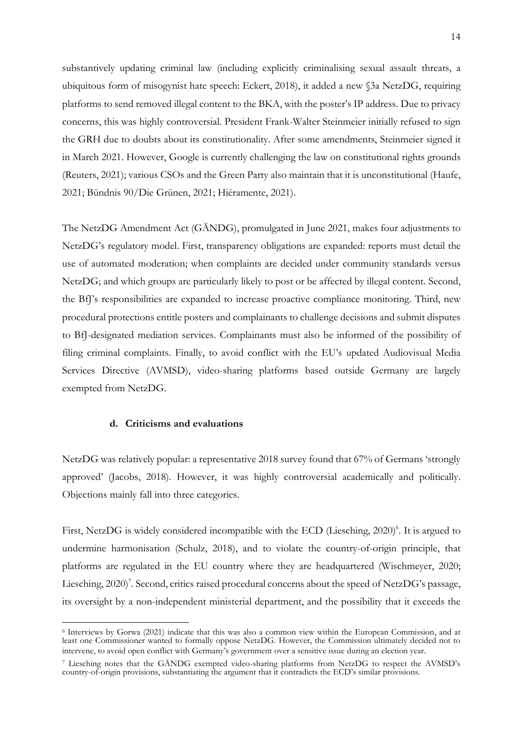substantively updating criminal law (including explicitly criminalising sexual assault threats, a ubiquitous form of misogynist hate speech: Eckert, 2018), it added a new §3a NetzDG, requiring platforms to send removed illegal content to the BKA, with the poster's IP address. Due to privacy concerns, this was highly controversial. President Frank-Walter Steinmeier initially refused to sign the GRH due to doubts about its constitutionality. After some amendments, Steinmeier signed it in March 2021. However, Google is currently challenging the law on constitutional rights grounds (Reuters, 2021); various CSOs and the Green Party also maintain that it is unconstitutional (Haufe, 2021; Bündnis 90/Die Grünen, 2021; Hiéramente, 2021).

The NetzDG Amendment Act (GÄNDG), promulgated in June 2021, makes four adjustments to NetzDG's regulatory model. First, transparency obligations are expanded: reports must detail the use of automated moderation; when complaints are decided under community standards versus NetzDG; and which groups are particularly likely to post or be affected by illegal content. Second, the BfJ's responsibilities are expanded to increase proactive compliance monitoring. Third, new procedural protections entitle posters and complainants to challenge decisions and submit disputes to BfJ-designated mediation services. Complainants must also be informed of the possibility of filing criminal complaints. Finally, to avoid conflict with the EU's updated Audiovisual Media Services Directive (AVMSD), video-sharing platforms based outside Germany are largely exempted from NetzDG.

#### **d. Criticisms and evaluations**

NetzDG was relatively popular: a representative 2018 survey found that 67% of Germans 'strongly approved' (Jacobs, 2018). However, it was highly controversial academically and politically. Objections mainly fall into three categories.

First, NetzDG is widely considered incompatible with the ECD (Liesching, 2020)<sup>6</sup>. It is argued to undermine harmonisation (Schulz, 2018), and to violate the country-of-origin principle, that platforms are regulated in the EU country where they are headquartered (Wischmeyer, 2020; Liesching, 2020)<sup>7</sup>. Second, critics raised procedural concerns about the speed of NetzDG's passage, its oversight by a non-independent ministerial department, and the possibility that it exceeds the

<sup>6</sup> Interviews by Gorwa (2021) indicate that this was also a common view within the European Commission, and at least one Commissioner wanted to formally oppose NetzDG. However, the Commission ultimately decided not to intervene, to avoid open conflict with Germany's government over a sensitive issue during an election year.

<sup>7</sup> Liesching notes that the GÄNDG exempted video-sharing platforms from NetzDG to respect the AVMSD's country-of-origin provisions, substantiating the argument that it contradicts the ECD's similar provisions.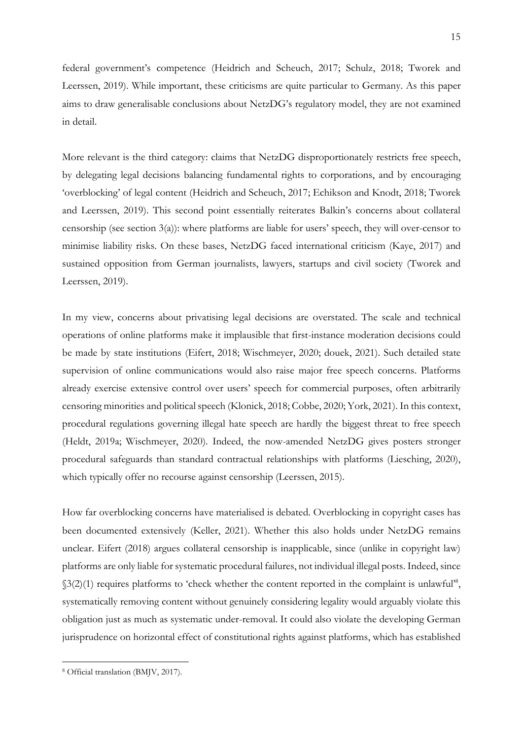federal government's competence (Heidrich and Scheuch, 2017; Schulz, 2018; Tworek and Leerssen, 2019). While important, these criticisms are quite particular to Germany. As this paper aims to draw generalisable conclusions about NetzDG's regulatory model, they are not examined in detail.

More relevant is the third category: claims that NetzDG disproportionately restricts free speech, by delegating legal decisions balancing fundamental rights to corporations, and by encouraging 'overblocking' of legal content (Heidrich and Scheuch, 2017; Echikson and Knodt, 2018; Tworek and Leerssen, 2019). This second point essentially reiterates Balkin's concerns about collateral censorship (see section  $3(a)$ ): where platforms are liable for users' speech, they will over-censor to minimise liability risks. On these bases, NetzDG faced international criticism (Kaye, 2017) and sustained opposition from German journalists, lawyers, startups and civil society (Tworek and Leerssen, 2019).

In my view, concerns about privatising legal decisions are overstated. The scale and technical operations of online platforms make it implausible that first-instance moderation decisions could be made by state institutions (Eifert, 2018; Wischmeyer, 2020; douek, 2021). Such detailed state supervision of online communications would also raise major free speech concerns. Platforms already exercise extensive control over users' speech for commercial purposes, often arbitrarily censoring minorities and political speech (Klonick, 2018; Cobbe, 2020; York, 2021). In this context, procedural regulations governing illegal hate speech are hardly the biggest threat to free speech (Heldt, 2019a; Wischmeyer, 2020). Indeed, the now-amended NetzDG gives posters stronger procedural safeguards than standard contractual relationships with platforms (Liesching, 2020), which typically offer no recourse against censorship (Leerssen, 2015).

How far overblocking concerns have materialised is debated. Overblocking in copyright cases has been documented extensively (Keller, 2021). Whether this also holds under NetzDG remains unclear. Eifert (2018) argues collateral censorship is inapplicable, since (unlike in copyright law) platforms are only liable for systematic procedural failures, not individual illegal posts. Indeed, since §3(2)(1) requires platforms to 'check whether the content reported in the complaint is unlawful<sup>28</sup>, systematically removing content without genuinely considering legality would arguably violate this obligation just as much as systematic under-removal. It could also violate the developing German jurisprudence on horizontal effect of constitutional rights against platforms, which has established

<sup>8</sup> Official translation (BMJV, 2017).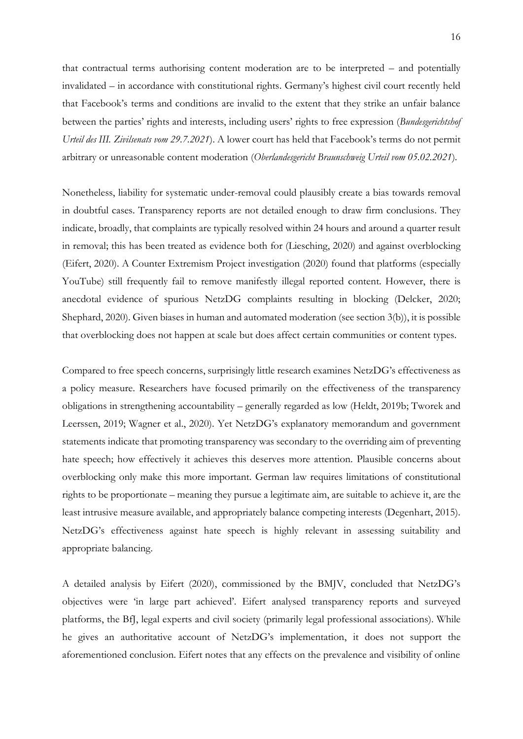that contractual terms authorising content moderation are to be interpreted – and potentially invalidated – in accordance with constitutional rights. Germany's highest civil court recently held that Facebook's terms and conditions are invalid to the extent that they strike an unfair balance between the parties' rights and interests, including users' rights to free expression (*Bundesgerichtshof Urteil des III. Zivilsenats vom 29.7.2021*). A lower court has held that Facebook's terms do not permit arbitrary or unreasonable content moderation (*Oberlandesgericht Braunschweig Urteil vom 05.02.2021*)*.* 

Nonetheless, liability for systematic under-removal could plausibly create a bias towards removal in doubtful cases. Transparency reports are not detailed enough to draw firm conclusions. They indicate, broadly, that complaints are typically resolved within 24 hours and around a quarter result in removal; this has been treated as evidence both for (Liesching, 2020) and against overblocking (Eifert, 2020). A Counter Extremism Project investigation (2020) found that platforms (especially YouTube) still frequently fail to remove manifestly illegal reported content. However, there is anecdotal evidence of spurious NetzDG complaints resulting in blocking (Delcker, 2020; Shephard, 2020). Given biases in human and automated moderation (see section 3(b)), it is possible that overblocking does not happen at scale but does affect certain communities or content types.

Compared to free speech concerns, surprisingly little research examines NetzDG's effectiveness as a policy measure. Researchers have focused primarily on the effectiveness of the transparency obligations in strengthening accountability – generally regarded as low (Heldt, 2019b; Tworek and Leerssen, 2019; Wagner et al., 2020). Yet NetzDG's explanatory memorandum and government statements indicate that promoting transparency was secondary to the overriding aim of preventing hate speech; how effectively it achieves this deserves more attention. Plausible concerns about overblocking only make this more important. German law requires limitations of constitutional rights to be proportionate – meaning they pursue a legitimate aim, are suitable to achieve it, are the least intrusive measure available, and appropriately balance competing interests (Degenhart, 2015). NetzDG's effectiveness against hate speech is highly relevant in assessing suitability and appropriate balancing.

A detailed analysis by Eifert (2020), commissioned by the BMJV, concluded that NetzDG's objectives were 'in large part achieved'. Eifert analysed transparency reports and surveyed platforms, the BfJ, legal experts and civil society (primarily legal professional associations). While he gives an authoritative account of NetzDG's implementation, it does not support the aforementioned conclusion. Eifert notes that any effects on the prevalence and visibility of online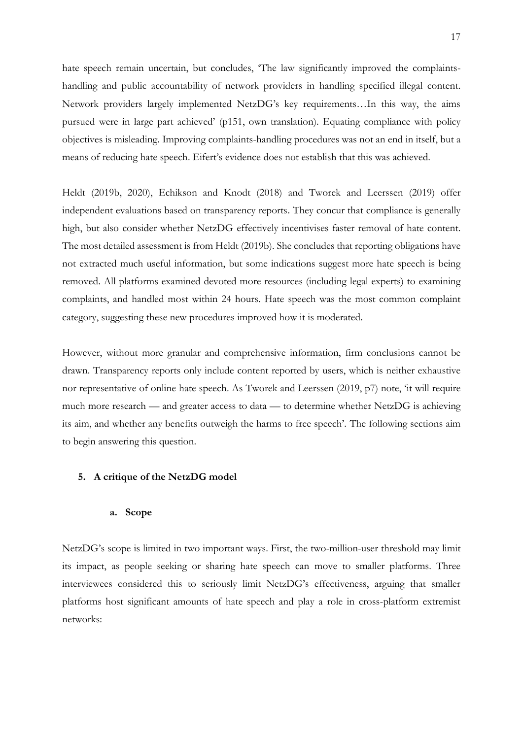hate speech remain uncertain, but concludes, 'The law significantly improved the complaintshandling and public accountability of network providers in handling specified illegal content. Network providers largely implemented NetzDG's key requirements…In this way, the aims pursued were in large part achieved' (p151, own translation). Equating compliance with policy objectives is misleading. Improving complaints-handling procedures was not an end in itself, but a means of reducing hate speech. Eifert's evidence does not establish that this was achieved.

Heldt (2019b, 2020), Echikson and Knodt (2018) and Tworek and Leerssen (2019) offer independent evaluations based on transparency reports. They concur that compliance is generally high, but also consider whether NetzDG effectively incentivises faster removal of hate content. The most detailed assessment is from Heldt (2019b). She concludes that reporting obligations have not extracted much useful information, but some indications suggest more hate speech is being removed. All platforms examined devoted more resources (including legal experts) to examining complaints, and handled most within 24 hours. Hate speech was the most common complaint category, suggesting these new procedures improved how it is moderated.

However, without more granular and comprehensive information, firm conclusions cannot be drawn. Transparency reports only include content reported by users, which is neither exhaustive nor representative of online hate speech. As Tworek and Leerssen (2019, p7) note, 'it will require much more research — and greater access to data — to determine whether NetzDG is achieving its aim, and whether any benefits outweigh the harms to free speech'. The following sections aim to begin answering this question.

#### **5. A critique of the NetzDG model**

#### **a. Scope**

NetzDG's scope is limited in two important ways. First, the two-million-user threshold may limit its impact, as people seeking or sharing hate speech can move to smaller platforms. Three interviewees considered this to seriously limit NetzDG's effectiveness, arguing that smaller platforms host significant amounts of hate speech and play a role in cross-platform extremist networks: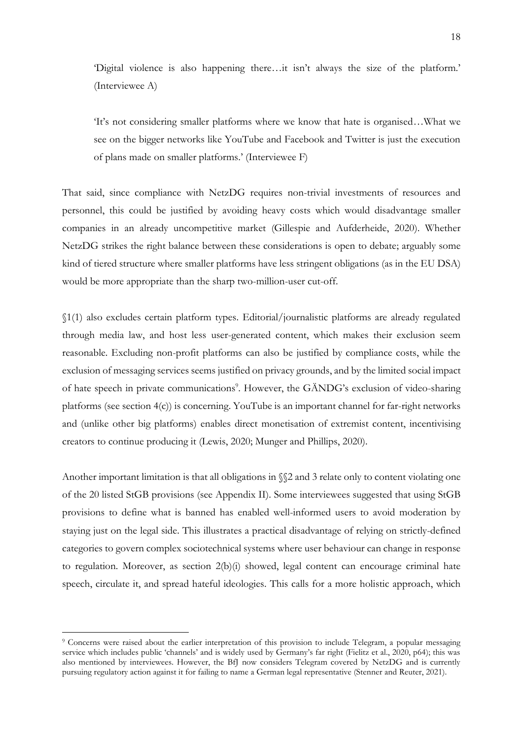'Digital violence is also happening there…it isn't always the size of the platform.' (Interviewee A)

'It's not considering smaller platforms where we know that hate is organised…What we see on the bigger networks like YouTube and Facebook and Twitter is just the execution of plans made on smaller platforms.' (Interviewee F)

That said, since compliance with NetzDG requires non-trivial investments of resources and personnel, this could be justified by avoiding heavy costs which would disadvantage smaller companies in an already uncompetitive market (Gillespie and Aufderheide, 2020). Whether NetzDG strikes the right balance between these considerations is open to debate; arguably some kind of tiered structure where smaller platforms have less stringent obligations (as in the EU DSA) would be more appropriate than the sharp two-million-user cut-off.

§1(1) also excludes certain platform types. Editorial/journalistic platforms are already regulated through media law, and host less user-generated content, which makes their exclusion seem reasonable. Excluding non-profit platforms can also be justified by compliance costs, while the exclusion of messaging services seems justified on privacy grounds, and by the limited social impact of hate speech in private communications<sup>9</sup>. However, the GÄNDG's exclusion of video-sharing platforms (see section 4(c)) is concerning. YouTube is an important channel for far-right networks and (unlike other big platforms) enables direct monetisation of extremist content, incentivising creators to continue producing it (Lewis, 2020; Munger and Phillips, 2020).

Another important limitation is that all obligations in §§2 and 3 relate only to content violating one of the 20 listed StGB provisions (see Appendix II). Some interviewees suggested that using StGB provisions to define what is banned has enabled well-informed users to avoid moderation by staying just on the legal side. This illustrates a practical disadvantage of relying on strictly-defined categories to govern complex sociotechnical systems where user behaviour can change in response to regulation. Moreover, as section  $2(b)(i)$  showed, legal content can encourage criminal hate speech, circulate it, and spread hateful ideologies. This calls for a more holistic approach, which

<sup>9</sup> Concerns were raised about the earlier interpretation of this provision to include Telegram, a popular messaging service which includes public 'channels' and is widely used by Germany's far right (Fielitz et al., 2020, p64); this was also mentioned by interviewees. However, the BfJ now considers Telegram covered by NetzDG and is currently pursuing regulatory action against it for failing to name a German legal representative (Stenner and Reuter, 2021).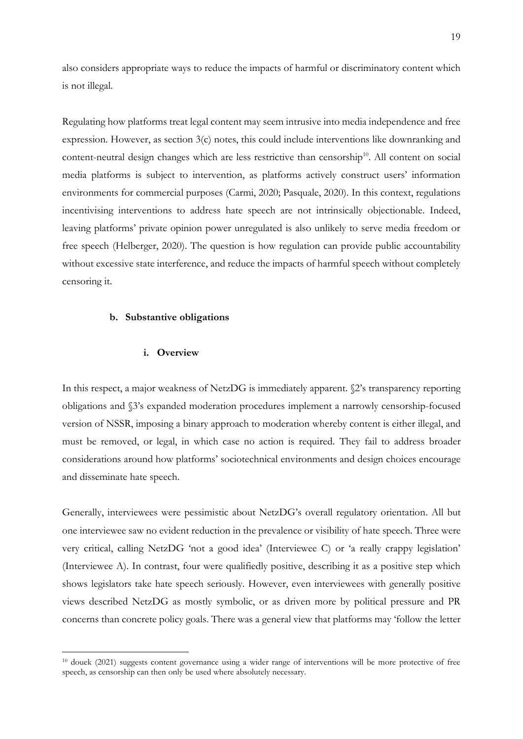also considers appropriate ways to reduce the impacts of harmful or discriminatory content which is not illegal.

Regulating how platforms treat legal content may seem intrusive into media independence and free expression. However, as section 3(c) notes, this could include interventions like downranking and content-neutral design changes which are less restrictive than censorship<sup>10</sup>. All content on social media platforms is subject to intervention, as platforms actively construct users' information environments for commercial purposes (Carmi, 2020; Pasquale, 2020). In this context, regulations incentivising interventions to address hate speech are not intrinsically objectionable. Indeed, leaving platforms' private opinion power unregulated is also unlikely to serve media freedom or free speech (Helberger, 2020). The question is how regulation can provide public accountability without excessive state interference, and reduce the impacts of harmful speech without completely censoring it.

#### **b. Substantive obligations**

#### **i. Overview**

In this respect, a major weakness of NetzDG is immediately apparent. §2's transparency reporting obligations and §3's expanded moderation procedures implement a narrowly censorship-focused version of NSSR, imposing a binary approach to moderation whereby content is either illegal, and must be removed, or legal, in which case no action is required. They fail to address broader considerations around how platforms' sociotechnical environments and design choices encourage and disseminate hate speech.

Generally, interviewees were pessimistic about NetzDG's overall regulatory orientation. All but one interviewee saw no evident reduction in the prevalence or visibility of hate speech. Three were very critical, calling NetzDG 'not a good idea' (Interviewee C) or 'a really crappy legislation' (Interviewee A). In contrast, four were qualifiedly positive, describing it as a positive step which shows legislators take hate speech seriously. However, even interviewees with generally positive views described NetzDG as mostly symbolic, or as driven more by political pressure and PR concerns than concrete policy goals. There was a general view that platforms may 'follow the letter

<sup>10</sup> douek (2021) suggests content governance using a wider range of interventions will be more protective of free speech, as censorship can then only be used where absolutely necessary.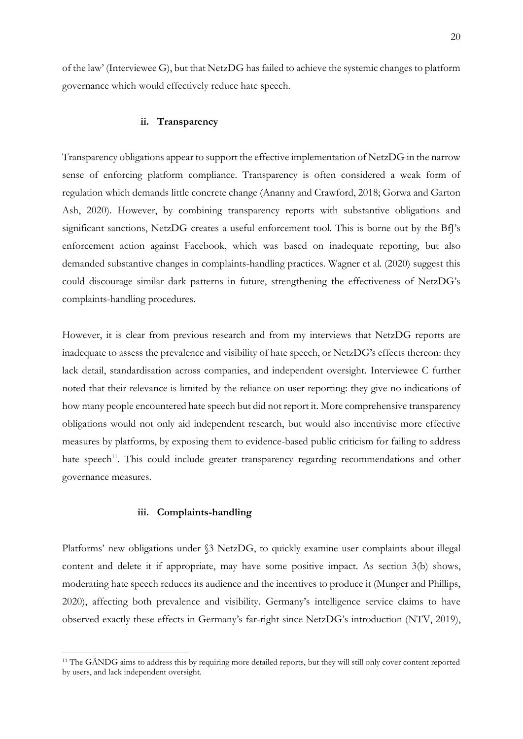of the law' (Interviewee G), but that NetzDG has failed to achieve the systemic changes to platform governance which would effectively reduce hate speech.

#### **ii. Transparency**

Transparency obligations appear to support the effective implementation of NetzDG in the narrow sense of enforcing platform compliance. Transparency is often considered a weak form of regulation which demands little concrete change (Ananny and Crawford, 2018; Gorwa and Garton Ash, 2020). However, by combining transparency reports with substantive obligations and significant sanctions, NetzDG creates a useful enforcement tool. This is borne out by the BfJ's enforcement action against Facebook, which was based on inadequate reporting, but also demanded substantive changes in complaints-handling practices. Wagner et al. (2020) suggest this could discourage similar dark patterns in future, strengthening the effectiveness of NetzDG's complaints-handling procedures.

However, it is clear from previous research and from my interviews that NetzDG reports are inadequate to assess the prevalence and visibility of hate speech, or NetzDG's effects thereon: they lack detail, standardisation across companies, and independent oversight. Interviewee C further noted that their relevance is limited by the reliance on user reporting: they give no indications of how many people encountered hate speech but did not report it. More comprehensive transparency obligations would not only aid independent research, but would also incentivise more effective measures by platforms, by exposing them to evidence-based public criticism for failing to address hate speech<sup>11</sup>. This could include greater transparency regarding recommendations and other governance measures.

#### **iii. Complaints-handling**

Platforms' new obligations under §3 NetzDG, to quickly examine user complaints about illegal content and delete it if appropriate, may have some positive impact. As section 3(b) shows, moderating hate speech reduces its audience and the incentives to produce it (Munger and Phillips, 2020), affecting both prevalence and visibility. Germany's intelligence service claims to have observed exactly these effects in Germany's far-right since NetzDG's introduction (NTV, 2019),

<sup>11</sup> The GÄNDG aims to address this by requiring more detailed reports, but they will still only cover content reported by users, and lack independent oversight.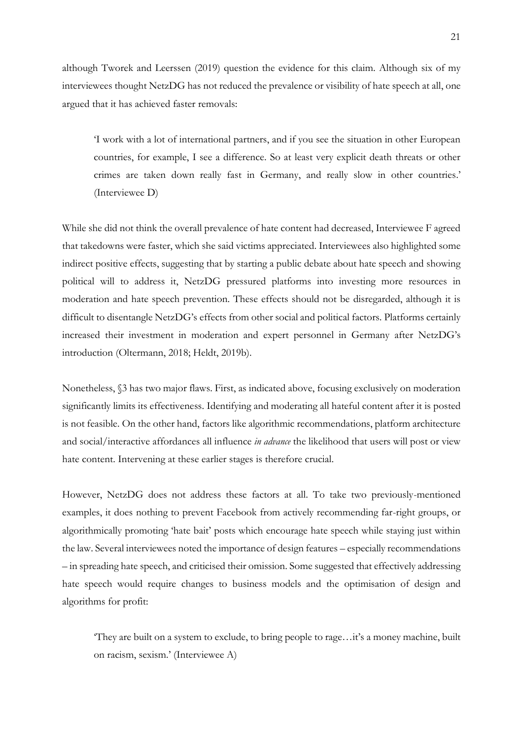although Tworek and Leerssen (2019) question the evidence for this claim. Although six of my interviewees thought NetzDG has not reduced the prevalence or visibility of hate speech at all, one argued that it has achieved faster removals:

'I work with a lot of international partners, and if you see the situation in other European countries, for example, I see a difference. So at least very explicit death threats or other crimes are taken down really fast in Germany, and really slow in other countries.' (Interviewee D)

While she did not think the overall prevalence of hate content had decreased, Interviewee F agreed that takedowns were faster, which she said victims appreciated. Interviewees also highlighted some indirect positive effects, suggesting that by starting a public debate about hate speech and showing political will to address it, NetzDG pressured platforms into investing more resources in moderation and hate speech prevention. These effects should not be disregarded, although it is difficult to disentangle NetzDG's effects from other social and political factors. Platforms certainly increased their investment in moderation and expert personnel in Germany after NetzDG's introduction (Oltermann, 2018; Heldt, 2019b).

Nonetheless, §3 has two major flaws. First, as indicated above, focusing exclusively on moderation significantly limits its effectiveness. Identifying and moderating all hateful content after it is posted is not feasible. On the other hand, factors like algorithmic recommendations, platform architecture and social/interactive affordances all influence *in advance* the likelihood that users will post or view hate content. Intervening at these earlier stages is therefore crucial.

However, NetzDG does not address these factors at all. To take two previously-mentioned examples, it does nothing to prevent Facebook from actively recommending far-right groups, or algorithmically promoting 'hate bait' posts which encourage hate speech while staying just within the law. Several interviewees noted the importance of design features – especially recommendations – in spreading hate speech, and criticised their omission. Some suggested that effectively addressing hate speech would require changes to business models and the optimisation of design and algorithms for profit:

'They are built on a system to exclude, to bring people to rage…it's a money machine, built on racism, sexism.' (Interviewee A)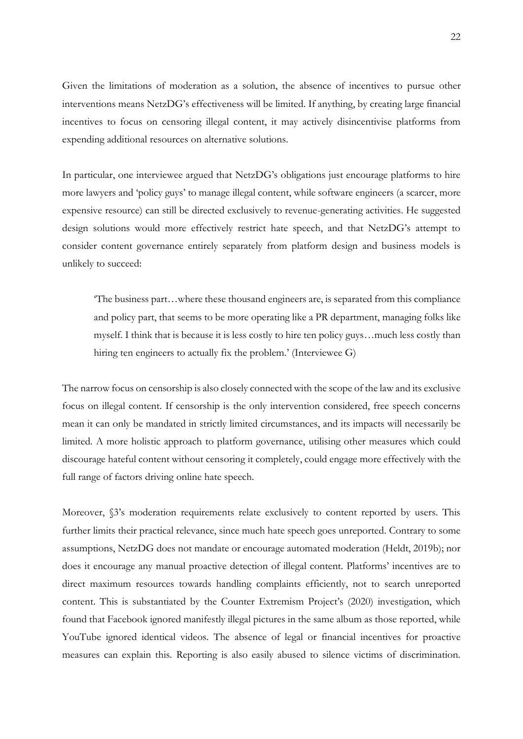Given the limitations of moderation as a solution, the absence of incentives to pursue other interventions means NetzDG's effectiveness will be limited. If anything, by creating large financial incentives to focus on censoring illegal content, it may actively disincentivise platforms from expending additional resources on alternative solutions.

In particular, one interviewee argued that NetzDG's obligations just encourage platforms to hire more lawyers and 'policy guys' to manage illegal content, while software engineers (a scarcer, more expensive resource) can still be directed exclusively to revenue-generating activities. He suggested design solutions would more effectively restrict hate speech, and that NetzDG's attempt to consider content governance entirely separately from platform design and business models is unlikely to succeed:

'The business part…where these thousand engineers are, is separated from this compliance and policy part, that seems to be more operating like a PR department, managing folks like myself. I think that is because it is less costly to hire ten policy guys…much less costly than hiring ten engineers to actually fix the problem.' (Interviewee G)

The narrow focus on censorship is also closely connected with the scope of the law and its exclusive focus on illegal content. If censorship is the only intervention considered, free speech concerns mean it can only be mandated in strictly limited circumstances, and its impacts will necessarily be limited. A more holistic approach to platform governance, utilising other measures which could discourage hateful content without censoring it completely, could engage more effectively with the full range of factors driving online hate speech.

Moreover, §3's moderation requirements relate exclusively to content reported by users. This further limits their practical relevance, since much hate speech goes unreported. Contrary to some assumptions, NetzDG does not mandate or encourage automated moderation (Heldt, 2019b); nor does it encourage any manual proactive detection of illegal content. Platforms' incentives are to direct maximum resources towards handling complaints efficiently, not to search unreported content. This is substantiated by the Counter Extremism Project's (2020) investigation, which found that Facebook ignored manifestly illegal pictures in the same album as those reported, while YouTube ignored identical videos. The absence of legal or financial incentives for proactive measures can explain this. Reporting is also easily abused to silence victims of discrimination.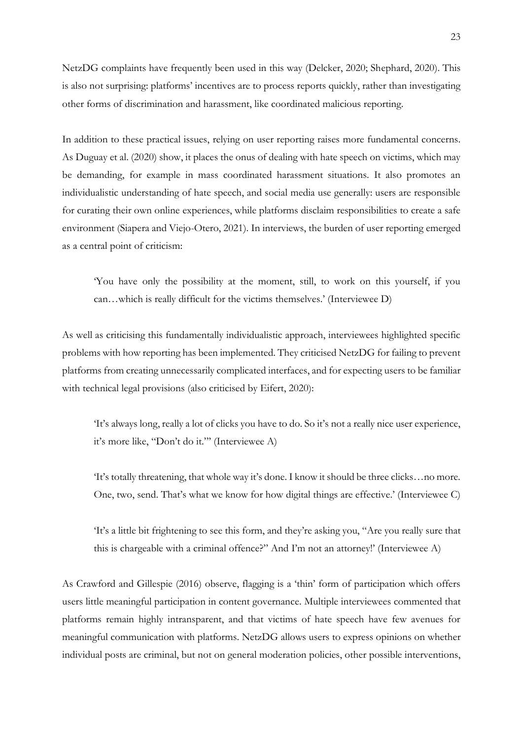NetzDG complaints have frequently been used in this way (Delcker, 2020; Shephard, 2020). This is also not surprising: platforms' incentives are to process reports quickly, rather than investigating other forms of discrimination and harassment, like coordinated malicious reporting.

In addition to these practical issues, relying on user reporting raises more fundamental concerns. As Duguay et al. (2020) show, it places the onus of dealing with hate speech on victims, which may be demanding, for example in mass coordinated harassment situations. It also promotes an individualistic understanding of hate speech, and social media use generally: users are responsible for curating their own online experiences, while platforms disclaim responsibilities to create a safe environment (Siapera and Viejo-Otero, 2021). In interviews, the burden of user reporting emerged as a central point of criticism:

'You have only the possibility at the moment, still, to work on this yourself, if you can…which is really difficult for the victims themselves.' (Interviewee D)

As well as criticising this fundamentally individualistic approach, interviewees highlighted specific problems with how reporting has been implemented. They criticised NetzDG for failing to prevent platforms from creating unnecessarily complicated interfaces, and for expecting users to be familiar with technical legal provisions (also criticised by Eifert, 2020):

'It's always long, really a lot of clicks you have to do. So it's not a really nice user experience, it's more like, "Don't do it."' (Interviewee A)

'It's totally threatening, that whole way it's done. I know it should be three clicks…no more. One, two, send. That's what we know for how digital things are effective.' (Interviewee C)

'It's a little bit frightening to see this form, and they're asking you, "Are you really sure that this is chargeable with a criminal offence?" And I'm not an attorney!' (Interviewee A)

As Crawford and Gillespie (2016) observe, flagging is a 'thin' form of participation which offers users little meaningful participation in content governance. Multiple interviewees commented that platforms remain highly intransparent, and that victims of hate speech have few avenues for meaningful communication with platforms. NetzDG allows users to express opinions on whether individual posts are criminal, but not on general moderation policies, other possible interventions,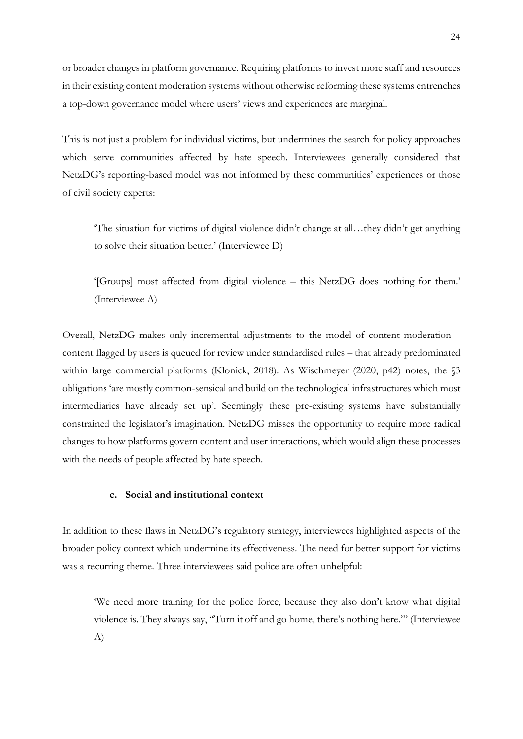or broader changes in platform governance. Requiring platforms to invest more staff and resources in their existing content moderation systems without otherwise reforming these systems entrenches a top-down governance model where users' views and experiences are marginal.

This is not just a problem for individual victims, but undermines the search for policy approaches which serve communities affected by hate speech. Interviewees generally considered that NetzDG's reporting-based model was not informed by these communities' experiences or those of civil society experts:

'The situation for victims of digital violence didn't change at all…they didn't get anything to solve their situation better.' (Interviewee D)

'[Groups] most affected from digital violence – this NetzDG does nothing for them.' (Interviewee A)

Overall, NetzDG makes only incremental adjustments to the model of content moderation – content flagged by users is queued for review under standardised rules – that already predominated within large commercial platforms (Klonick, 2018). As Wischmeyer (2020, p42) notes, the §3 obligations 'are mostly common-sensical and build on the technological infrastructures which most intermediaries have already set up'. Seemingly these pre-existing systems have substantially constrained the legislator's imagination. NetzDG misses the opportunity to require more radical changes to how platforms govern content and user interactions, which would align these processes with the needs of people affected by hate speech.

### **c. Social and institutional context**

In addition to these flaws in NetzDG's regulatory strategy, interviewees highlighted aspects of the broader policy context which undermine its effectiveness. The need for better support for victims was a recurring theme. Three interviewees said police are often unhelpful:

'We need more training for the police force, because they also don't know what digital violence is. They always say, "Turn it off and go home, there's nothing here."' (Interviewee A)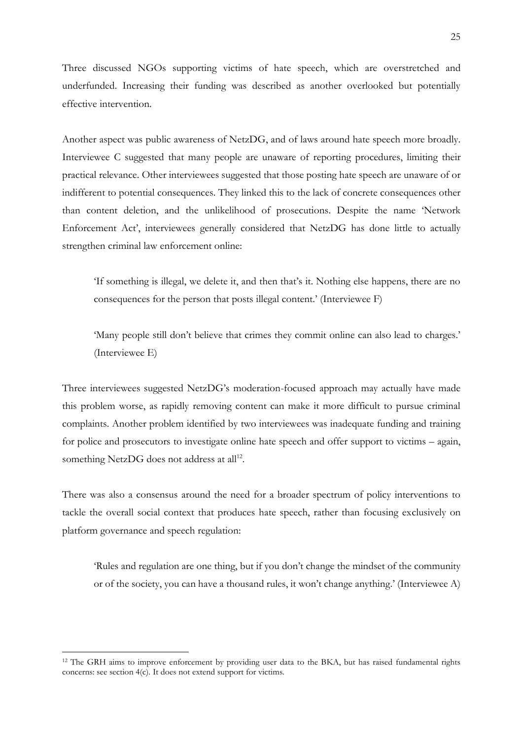Three discussed NGOs supporting victims of hate speech, which are overstretched and underfunded. Increasing their funding was described as another overlooked but potentially effective intervention.

Another aspect was public awareness of NetzDG, and of laws around hate speech more broadly. Interviewee C suggested that many people are unaware of reporting procedures, limiting their practical relevance. Other interviewees suggested that those posting hate speech are unaware of or indifferent to potential consequences. They linked this to the lack of concrete consequences other than content deletion, and the unlikelihood of prosecutions. Despite the name 'Network Enforcement Act', interviewees generally considered that NetzDG has done little to actually strengthen criminal law enforcement online:

'If something is illegal, we delete it, and then that's it. Nothing else happens, there are no consequences for the person that posts illegal content.' (Interviewee F)

'Many people still don't believe that crimes they commit online can also lead to charges.' (Interviewee E)

Three interviewees suggested NetzDG's moderation-focused approach may actually have made this problem worse, as rapidly removing content can make it more difficult to pursue criminal complaints. Another problem identified by two interviewees was inadequate funding and training for police and prosecutors to investigate online hate speech and offer support to victims – again, something NetzDG does not address at all<sup>12</sup>.

There was also a consensus around the need for a broader spectrum of policy interventions to tackle the overall social context that produces hate speech, rather than focusing exclusively on platform governance and speech regulation:

'Rules and regulation are one thing, but if you don't change the mindset of the community or of the society, you can have a thousand rules, it won't change anything.' (Interviewee A)

<sup>12</sup> The GRH aims to improve enforcement by providing user data to the BKA, but has raised fundamental rights concerns: see section 4(c). It does not extend support for victims.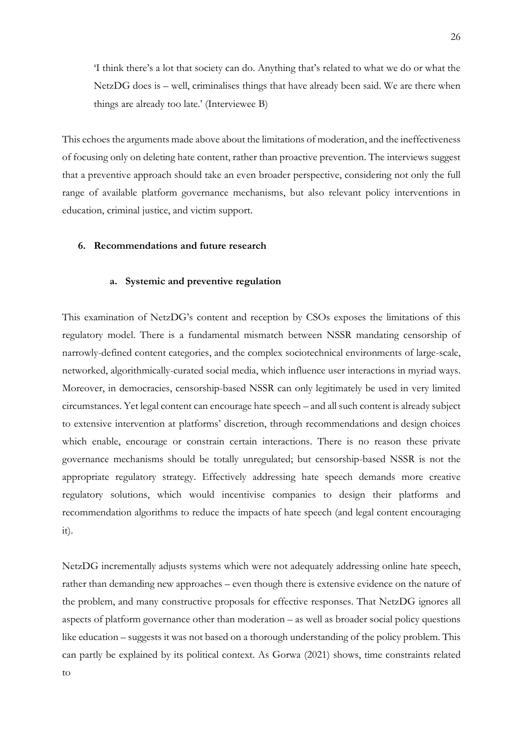'I think there's a lot that society can do. Anything that's related to what we do or what the NetzDG does is – well, criminalises things that have already been said. We are there when things are already too late.' (Interviewee B)

This echoes the arguments made above about the limitations of moderation, and the ineffectiveness of focusing only on deleting hate content, rather than proactive prevention. The interviews suggest that a preventive approach should take an even broader perspective, considering not only the full range of available platform governance mechanisms, but also relevant policy interventions in education, criminal justice, and victim support.

#### **6. Recommendations and future research**

to

#### **a. Systemic and preventive regulation**

This examination of NetzDG's content and reception by CSOs exposes the limitations of this regulatory model. There is a fundamental mismatch between NSSR mandating censorship of narrowly-defined content categories, and the complex sociotechnical environments of large-scale, networked, algorithmically-curated social media, which influence user interactions in myriad ways. Moreover, in democracies, censorship-based NSSR can only legitimately be used in very limited circumstances. Yet legal content can encourage hate speech – and all such content is already subject to extensive intervention at platforms' discretion, through recommendations and design choices which enable, encourage or constrain certain interactions. There is no reason these private governance mechanisms should be totally unregulated; but censorship-based NSSR is not the appropriate regulatory strategy. Effectively addressing hate speech demands more creative regulatory solutions, which would incentivise companies to design their platforms and recommendation algorithms to reduce the impacts of hate speech (and legal content encouraging it).

NetzDG incrementally adjusts systems which were not adequately addressing online hate speech, rather than demanding new approaches – even though there is extensive evidence on the nature of the problem, and many constructive proposals for effective responses. That NetzDG ignores all aspects of platform governance other than moderation – as well as broader social policy questions like education – suggests it was not based on a thorough understanding of the policy problem. This can partly be explained by its political context. As Gorwa (2021) shows, time constraints related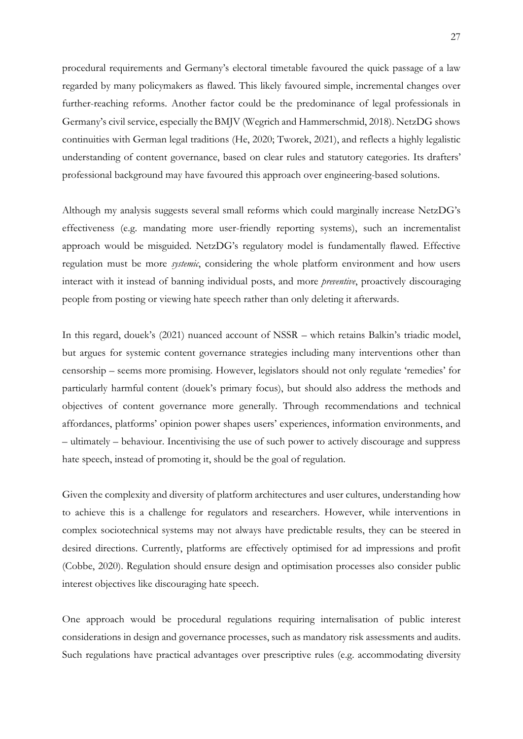procedural requirements and Germany's electoral timetable favoured the quick passage of a law regarded by many policymakers as flawed. This likely favoured simple, incremental changes over further-reaching reforms. Another factor could be the predominance of legal professionals in Germany's civil service, especially theBMJV (Wegrich and Hammerschmid, 2018). NetzDG shows continuities with German legal traditions (He, 2020; Tworek, 2021), and reflects a highly legalistic understanding of content governance, based on clear rules and statutory categories. Its drafters' professional background may have favoured this approach over engineering-based solutions.

Although my analysis suggests several small reforms which could marginally increase NetzDG's effectiveness (e.g. mandating more user-friendly reporting systems), such an incrementalist approach would be misguided. NetzDG's regulatory model is fundamentally flawed. Effective regulation must be more *systemic*, considering the whole platform environment and how users interact with it instead of banning individual posts, and more *preventive*, proactively discouraging people from posting or viewing hate speech rather than only deleting it afterwards.

In this regard, douek's (2021) nuanced account of NSSR – which retains Balkin's triadic model, but argues for systemic content governance strategies including many interventions other than censorship – seems more promising. However, legislators should not only regulate 'remedies' for particularly harmful content (douek's primary focus), but should also address the methods and objectives of content governance more generally. Through recommendations and technical affordances, platforms' opinion power shapes users' experiences, information environments, and – ultimately – behaviour. Incentivising the use of such power to actively discourage and suppress hate speech, instead of promoting it, should be the goal of regulation.

Given the complexity and diversity of platform architectures and user cultures, understanding how to achieve this is a challenge for regulators and researchers. However, while interventions in complex sociotechnical systems may not always have predictable results, they can be steered in desired directions. Currently, platforms are effectively optimised for ad impressions and profit (Cobbe, 2020). Regulation should ensure design and optimisation processes also consider public interest objectives like discouraging hate speech.

One approach would be procedural regulations requiring internalisation of public interest considerations in design and governance processes, such as mandatory risk assessments and audits. Such regulations have practical advantages over prescriptive rules (e.g. accommodating diversity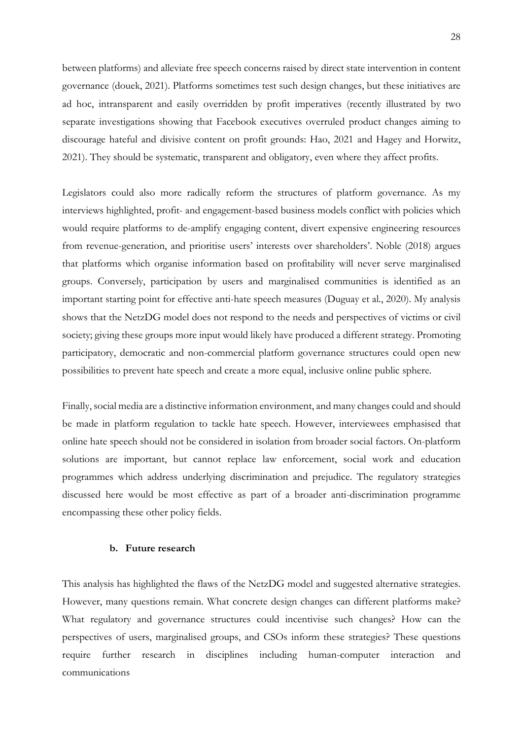between platforms) and alleviate free speech concerns raised by direct state intervention in content governance (douek, 2021). Platforms sometimes test such design changes, but these initiatives are ad hoc, intransparent and easily overridden by profit imperatives (recently illustrated by two separate investigations showing that Facebook executives overruled product changes aiming to discourage hateful and divisive content on profit grounds: Hao, 2021 and Hagey and Horwitz, 2021). They should be systematic, transparent and obligatory, even where they affect profits.

Legislators could also more radically reform the structures of platform governance. As my interviews highlighted, profit- and engagement-based business models conflict with policies which would require platforms to de-amplify engaging content, divert expensive engineering resources from revenue-generation, and prioritise users' interests over shareholders'. Noble (2018) argues that platforms which organise information based on profitability will never serve marginalised groups. Conversely, participation by users and marginalised communities is identified as an important starting point for effective anti-hate speech measures (Duguay et al., 2020). My analysis shows that the NetzDG model does not respond to the needs and perspectives of victims or civil society; giving these groups more input would likely have produced a different strategy. Promoting participatory, democratic and non-commercial platform governance structures could open new possibilities to prevent hate speech and create a more equal, inclusive online public sphere.

Finally, social media are a distinctive information environment, and many changes could and should be made in platform regulation to tackle hate speech. However, interviewees emphasised that online hate speech should not be considered in isolation from broader social factors. On-platform solutions are important, but cannot replace law enforcement, social work and education programmes which address underlying discrimination and prejudice. The regulatory strategies discussed here would be most effective as part of a broader anti-discrimination programme encompassing these other policy fields.

#### **b. Future research**

This analysis has highlighted the flaws of the NetzDG model and suggested alternative strategies. However, many questions remain. What concrete design changes can different platforms make? What regulatory and governance structures could incentivise such changes? How can the perspectives of users, marginalised groups, and CSOs inform these strategies? These questions require further research in disciplines including human-computer interaction and communications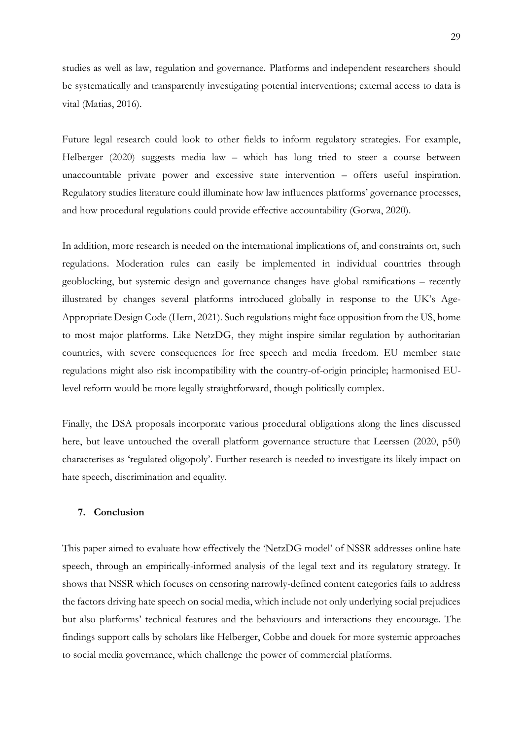studies as well as law, regulation and governance. Platforms and independent researchers should be systematically and transparently investigating potential interventions; external access to data is vital (Matias, 2016).

Future legal research could look to other fields to inform regulatory strategies. For example, Helberger (2020) suggests media law – which has long tried to steer a course between unaccountable private power and excessive state intervention – offers useful inspiration. Regulatory studies literature could illuminate how law influences platforms' governance processes, and how procedural regulations could provide effective accountability (Gorwa, 2020).

In addition, more research is needed on the international implications of, and constraints on, such regulations. Moderation rules can easily be implemented in individual countries through geoblocking, but systemic design and governance changes have global ramifications – recently illustrated by changes several platforms introduced globally in response to the UK's Age-Appropriate Design Code (Hern, 2021). Such regulations might face opposition from the US, home to most major platforms. Like NetzDG, they might inspire similar regulation by authoritarian countries, with severe consequences for free speech and media freedom. EU member state regulations might also risk incompatibility with the country-of-origin principle; harmonised EUlevel reform would be more legally straightforward, though politically complex.

Finally, the DSA proposals incorporate various procedural obligations along the lines discussed here, but leave untouched the overall platform governance structure that Leerssen (2020, p50) characterises as 'regulated oligopoly'. Further research is needed to investigate its likely impact on hate speech, discrimination and equality.

#### **7. Conclusion**

This paper aimed to evaluate how effectively the 'NetzDG model' of NSSR addresses online hate speech, through an empirically-informed analysis of the legal text and its regulatory strategy. It shows that NSSR which focuses on censoring narrowly-defined content categories fails to address the factors driving hate speech on social media, which include not only underlying social prejudices but also platforms' technical features and the behaviours and interactions they encourage. The findings support calls by scholars like Helberger, Cobbe and douek for more systemic approaches to social media governance, which challenge the power of commercial platforms.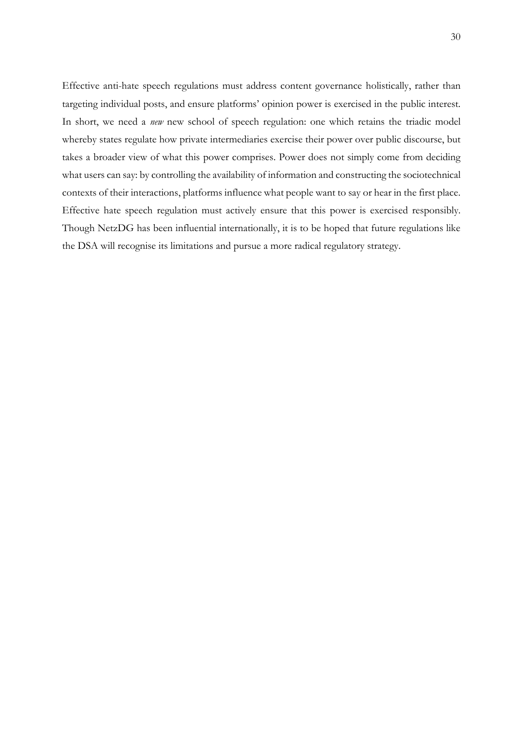Effective anti-hate speech regulations must address content governance holistically, rather than targeting individual posts, and ensure platforms' opinion power is exercised in the public interest. In short, we need a *new* new school of speech regulation: one which retains the triadic model whereby states regulate how private intermediaries exercise their power over public discourse, but takes a broader view of what this power comprises. Power does not simply come from deciding what users can say: by controlling the availability of information and constructing the sociotechnical contexts of their interactions, platforms influence what people want to say or hear in the first place. Effective hate speech regulation must actively ensure that this power is exercised responsibly. Though NetzDG has been influential internationally, it is to be hoped that future regulations like the DSA will recognise its limitations and pursue a more radical regulatory strategy.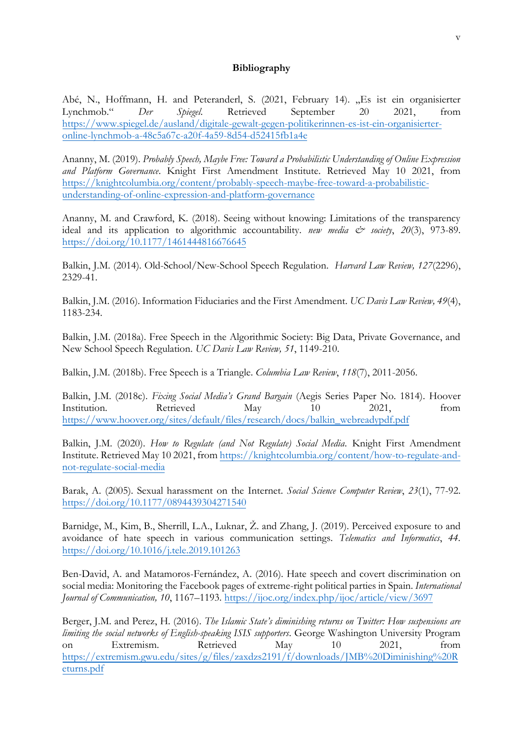## **Bibliography**

Abé, N., Hoffmann, H. and Peteranderl, S. (2021, February 14). "Es ist ein organisierter Lynchmob." *Der Spiegel*. Retrieved September 20 2021, from [https://www.spiegel.de/ausland/digitale-gewalt-gegen-politikerinnen-es-ist-ein-organisierter](https://www.spiegel.de/ausland/digitale-gewalt-gegen-politikerinnen-es-ist-ein-organisierter-online-lynchmob-a-48c5a67c-a20f-4a59-8d54-d52415fb1a4e)[online-lynchmob-a-48c5a67c-a20f-4a59-8d54-d52415fb1a4e](https://www.spiegel.de/ausland/digitale-gewalt-gegen-politikerinnen-es-ist-ein-organisierter-online-lynchmob-a-48c5a67c-a20f-4a59-8d54-d52415fb1a4e)

Ananny, M. (2019). *Probably Speech, Maybe Free: Toward a Probabilistic Understanding of Online Expression and Platform Governance*. Knight First Amendment Institute. Retrieved May 10 2021, from [https://knightcolumbia.org/content/probably-speech-maybe-free-toward-a-probabilistic](https://knightcolumbia.org/content/probably-speech-maybe-free-toward-a-probabilistic-understanding-of-online-expression-and-platform-governance)[understanding-of-online-expression-and-platform-governance](https://knightcolumbia.org/content/probably-speech-maybe-free-toward-a-probabilistic-understanding-of-online-expression-and-platform-governance)

Ananny, M. and Crawford, K. (2018). Seeing without knowing: Limitations of the transparency ideal and its application to algorithmic accountability. *new media*  $c^*$  *society*, 20(3), 973-89. <https://doi.org/10.1177/1461444816676645>

Balkin, J.M. (2014). Old-School/New-School Speech Regulation. *Harvard Law Review, 127*(2296), 2329-41.

Balkin, J.M. (2016). Information Fiduciaries and the First Amendment. *UC Davis Law Review, 49*(4), 1183-234.

Balkin, J.M. (2018a). Free Speech in the Algorithmic Society: Big Data, Private Governance, and New School Speech Regulation. *UC Davis Law Review, 51*, 1149-210.

Balkin, J.M. (2018b). Free Speech is a Triangle. *Columbia Law Review*, *118*(7), 2011-2056.

Balkin, J.M. (2018c). *Fixing Social Media's Grand Bargain* (Aegis Series Paper No. 1814). Hoover Institution. Retrieved May 10 2021, from [https://www.hoover.org/sites/default/files/research/docs/balkin\\_webreadypdf.pdf](https://www.hoover.org/sites/default/files/research/docs/balkin_webreadypdf.pdf) 

Balkin, J.M. (2020). *How to Regulate (and Not Regulate) Social Media.* Knight First Amendment Institute. Retrieved May 10 2021, from [https://knightcolumbia.org/content/how-to-regulate-and](https://knightcolumbia.org/content/how-to-regulate-and-not-regulate-social-media)[not-regulate-social-media](https://knightcolumbia.org/content/how-to-regulate-and-not-regulate-social-media)

Barak, A. (2005). Sexual harassment on the Internet. *Social Science Computer Review*, *23*(1), 77-92. <https://doi.org/10.1177/0894439304271540>

Barnidge, M., Kim, B., Sherrill, L.A., Luknar, Ž. and Zhang, J. (2019). Perceived exposure to and avoidance of hate speech in various communication settings. *Telematics and Informatics*, *44*. <https://doi.org/10.1016/j.tele.2019.101263>

Ben-David, A. and Matamoros-Fernández, A. (2016). Hate speech and covert discrimination on social media: Monitoring the Facebook pages of extreme-right political parties in Spain. *International Journal of Communication, 10*, 1167–1193. <https://ijoc.org/index.php/ijoc/article/view/3697>

Berger, J.M. and Perez, H. (2016). *The Islamic State's diminishing returns on Twitter: How suspensions are limiting the social networks of English-speaking ISIS supporters*. George Washington University Program on Extremism. Retrieved May 10 2021, from [https://extremism.gwu.edu/sites/g/files/zaxdzs2191/f/downloads/JMB%20Diminishing%20R](https://extremism.gwu.edu/sites/g/files/zaxdzs2191/f/downloads/JMB%20Diminishing%20Returns.pdf) [eturns.pdf](https://extremism.gwu.edu/sites/g/files/zaxdzs2191/f/downloads/JMB%20Diminishing%20Returns.pdf)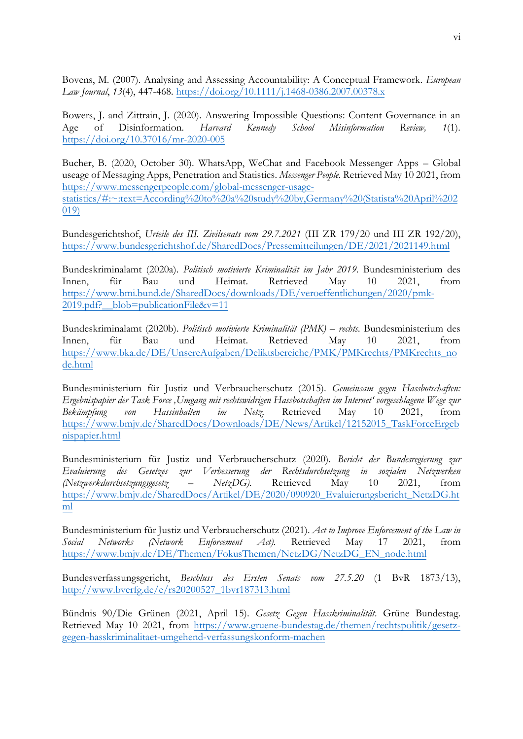Bovens, M. (2007). Analysing and Assessing Accountability: A Conceptual Framework. *European Law Journal*, *13*(4), 447-468. <https://doi.org/10.1111/j.1468-0386.2007.00378.x>

Bowers, J. and Zittrain, J. (2020). Answering Impossible Questions: Content Governance in an Age of Disinformation. *Harvard Kennedy School Misinformation Review, 1*(1). <https://doi.org/10.37016/mr-2020-005>

Bucher, B. (2020, October 30). WhatsApp, WeChat and Facebook Messenger Apps – Global useage of Messaging Apps, Penetration and Statistics. *Messenger People.* Retrieved May 10 2021, from [https://www.messengerpeople.com/global-messenger-usage](https://www.messengerpeople.com/global-messenger-usage-statistics/#:~:text=According%20to%20a%20study%20by,Germany%20(Statista%20April%202019))[statistics/#:~:text=According%20to%20a%20study%20by,Germany%20\(Statista%20April%202](https://www.messengerpeople.com/global-messenger-usage-statistics/#:~:text=According%20to%20a%20study%20by,Germany%20(Statista%20April%202019)) [019\)](https://www.messengerpeople.com/global-messenger-usage-statistics/#:~:text=According%20to%20a%20study%20by,Germany%20(Statista%20April%202019))

Bundesgerichtshof, *Urteile des III. Zivilsenats vom 29.7.2021* (III ZR 179/20 und III ZR 192/20), <https://www.bundesgerichtshof.de/SharedDocs/Pressemitteilungen/DE/2021/2021149.html>

Bundeskriminalamt (2020a). *Politisch motivierte Kriminalität im Jahr 2019.* Bundesministerium des Innen, für Bau und Heimat. Retrieved May 10 2021, from [https://www.bmi.bund.de/SharedDocs/downloads/DE/veroeffentlichungen/2020/pmk-](https://www.bmi.bund.de/SharedDocs/downloads/DE/veroeffentlichungen/2020/pmk-2019.pdf?__blob=publicationFile&v=11)2019.pdf? blob=publicationFile&v=11

Bundeskriminalamt (2020b). *Politisch motivierte Kriminalität (PMK) – rechts.* Bundesministerium des Innen, für Bau und Heimat. Retrieved May 10 2021, from [https://www.bka.de/DE/UnsereAufgaben/Deliktsbereiche/PMK/PMKrechts/PMKrechts\\_no](https://www.bka.de/DE/UnsereAufgaben/Deliktsbereiche/PMK/PMKrechts/PMKrechts_node.html) [de.html](https://www.bka.de/DE/UnsereAufgaben/Deliktsbereiche/PMK/PMKrechts/PMKrechts_node.html)

Bundesministerium für Justiz und Verbraucherschutz (2015). *Gemeinsam gegen Hassbotschaften: Ergebnispapier der Task Force 'Umgang mit rechtswidrigen Hassbotschaften im Internet' vorgeschlagene Wege zur Bekämpfung von Hassinhalten im Netz.* Retrieved May 10 2021, from [https://www.bmjv.de/SharedDocs/Downloads/DE/News/Artikel/12152015\\_TaskForceErgeb](https://www.bmjv.de/SharedDocs/Downloads/DE/News/Artikel/12152015_TaskForceErgebnispapier.html) [nispapier.html](https://www.bmjv.de/SharedDocs/Downloads/DE/News/Artikel/12152015_TaskForceErgebnispapier.html) 

Bundesministerium für Justiz und Verbraucherschutz (2020). *Bericht der Bundesregierung zur Evaluierung des Gesetzes zur Verbesserung der Rechtsdurchsetzung in sozialen Netzwerken (Netzwerkdurchsetzungsgesetz – NetzDG).* Retrieved May 10 2021, from [https://www.bmjv.de/SharedDocs/Artikel/DE/2020/090920\\_Evaluierungsbericht\\_NetzDG.ht](https://www.bmjv.de/SharedDocs/Artikel/DE/2020/090920_Evaluierungsbericht_NetzDG.html) [ml](https://www.bmjv.de/SharedDocs/Artikel/DE/2020/090920_Evaluierungsbericht_NetzDG.html) 

Bundesministerium für Justiz und Verbraucherschutz (2021). *Act to Improve Enforcement of the Law in Social Networks (Network Enforcement Act).* Retrieved May 17 2021, from [https://www.bmjv.de/DE/Themen/FokusThemen/NetzDG/NetzDG\\_EN\\_node.html](https://www.bmjv.de/DE/Themen/FokusThemen/NetzDG/NetzDG_EN_node.html) 

Bundesverfassungsgericht, *Beschluss des Ersten Senats vom 27.5.20* (1 BvR 1873/13), [http://www.bverfg.de/e/rs20200527\\_1bvr187313.html](http://www.bverfg.de/e/rs20200527_1bvr187313.html)

Bündnis 90/Die Grünen (2021, April 15). *Gesetz Gegen Hasskriminalität*. Grüne Bundestag. Retrieved May 10 2021, from [https://www.gruene-bundestag.de/themen/rechtspolitik/gesetz](https://www.gruene-bundestag.de/themen/rechtspolitik/gesetz-gegen-hasskriminalitaet-umgehend-verfassungskonform-machen)[gegen-hasskriminalitaet-umgehend-verfassungskonform-machen](https://www.gruene-bundestag.de/themen/rechtspolitik/gesetz-gegen-hasskriminalitaet-umgehend-verfassungskonform-machen)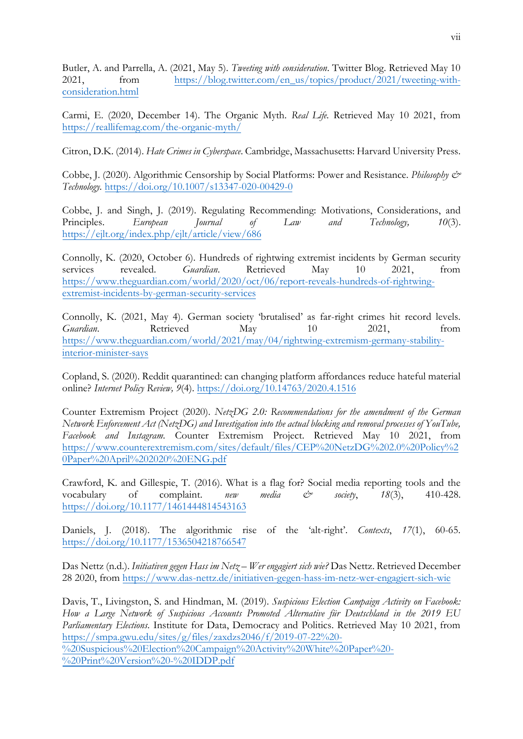Butler, A. and Parrella, A. (2021, May 5). *Tweeting with consideration*. Twitter Blog. Retrieved May 10 2021, from [https://blog.twitter.com/en\\_us/topics/product/2021/tweeting-with](https://blog.twitter.com/en_us/topics/product/2021/tweeting-with-consideration.html)[consideration.html](https://blog.twitter.com/en_us/topics/product/2021/tweeting-with-consideration.html) 

Carmi, E. (2020, December 14). The Organic Myth. *Real Life.* Retrieved May 10 2021, from <https://reallifemag.com/the-organic-myth/>

Citron, D.K. (2014). *Hate Crimes in Cyberspace*. Cambridge, Massachusetts: Harvard University Press.

Cobbe, J. (2020). Algorithmic Censorship by Social Platforms: Power and Resistance. *Philosophy & Technology.* <https://doi.org/10.1007/s13347-020-00429-0>

Cobbe, J. and Singh, J. (2019). Regulating Recommending: Motivations, Considerations, and Principles. *European Journal of Law and Technology, 10*(3). <https://ejlt.org/index.php/ejlt/article/view/686>

Connolly, K. (2020, October 6). Hundreds of rightwing extremist incidents by German security services revealed. *Guardian*. Retrieved May 10 2021, from [https://www.theguardian.com/world/2020/oct/06/report-reveals-hundreds-of-rightwing](https://www.theguardian.com/world/2020/oct/06/report-reveals-hundreds-of-rightwing-extremist-incidents-by-german-security-services)[extremist-incidents-by-german-security-services](https://www.theguardian.com/world/2020/oct/06/report-reveals-hundreds-of-rightwing-extremist-incidents-by-german-security-services)

Connolly, K. (2021, May 4). German society 'brutalised' as far-right crimes hit record levels. *Guardian*. Retrieved May 10 2021, from [https://www.theguardian.com/world/2021/may/04/rightwing-extremism-germany-stability](https://www.theguardian.com/world/2021/may/04/rightwing-extremism-germany-stability-interior-minister-says)[interior-minister-says](https://www.theguardian.com/world/2021/may/04/rightwing-extremism-germany-stability-interior-minister-says) 

Copland, S. (2020). Reddit quarantined: can changing platform affordances reduce hateful material online? *Internet Policy Review, 9*(4).<https://doi.org/10.14763/2020.4.1516>

Counter Extremism Project (2020). *NetzDG 2.0: Recommendations for the amendment of the German Network Enforcement Act (NetzDG) and Investigation into the actual blocking and removal processes of YouTube, Facebook and Instagram.* Counter Extremism Project. Retrieved May 10 2021, from [https://www.counterextremism.com/sites/default/files/CEP%20NetzDG%202.0%20Policy%2](https://www.counterextremism.com/sites/default/files/CEP%20NetzDG%202.0%20Policy%20Paper%20April%202020%20ENG.pdf) [0Paper%20April%202020%20ENG.pdf](https://www.counterextremism.com/sites/default/files/CEP%20NetzDG%202.0%20Policy%20Paper%20April%202020%20ENG.pdf) 

Crawford, K. and Gillespie, T. (2016). What is a flag for? Social media reporting tools and the vocabulary of complaint. *new media & society*, *18*(3), 410-428. <https://doi.org/10.1177/1461444814543163>

Daniels, J. (2018). The algorithmic rise of the 'alt-right'. *Contexts*, *17*(1), 60-65. <https://doi.org/10.1177/1536504218766547>

Das Nettz (n.d.). *Initiativen gegen Hass im Netz – Wer engagiert sich wie?* Das Nettz. Retrieved December 28 2020, from<https://www.das-nettz.de/initiativen-gegen-hass-im-netz-wer-engagiert-sich-wie>

Davis, T., Livingston, S. and Hindman, M. (2019). *Suspicious Election Campaign Activity on Facebook: How a Large Network of Suspicious Accounts Promoted Alternative für Deutschland in the 2019 EU Parliamentary Elections*. Institute for Data, Democracy and Politics. Retrieved May 10 2021, from [https://smpa.gwu.edu/sites/g/files/zaxdzs2046/f/2019-07-22%20-](https://smpa.gwu.edu/sites/g/files/zaxdzs2046/f/2019-07-22%20-%20Suspicious%20Election%20Campaign%20Activity%20White%20Paper%20-%20Print%20Version%20-%20IDDP.pdf) [%20Suspicious%20Election%20Campaign%20Activity%20White%20Paper%20-](https://smpa.gwu.edu/sites/g/files/zaxdzs2046/f/2019-07-22%20-%20Suspicious%20Election%20Campaign%20Activity%20White%20Paper%20-%20Print%20Version%20-%20IDDP.pdf) [%20Print%20Version%20-%20IDDP.pdf](https://smpa.gwu.edu/sites/g/files/zaxdzs2046/f/2019-07-22%20-%20Suspicious%20Election%20Campaign%20Activity%20White%20Paper%20-%20Print%20Version%20-%20IDDP.pdf)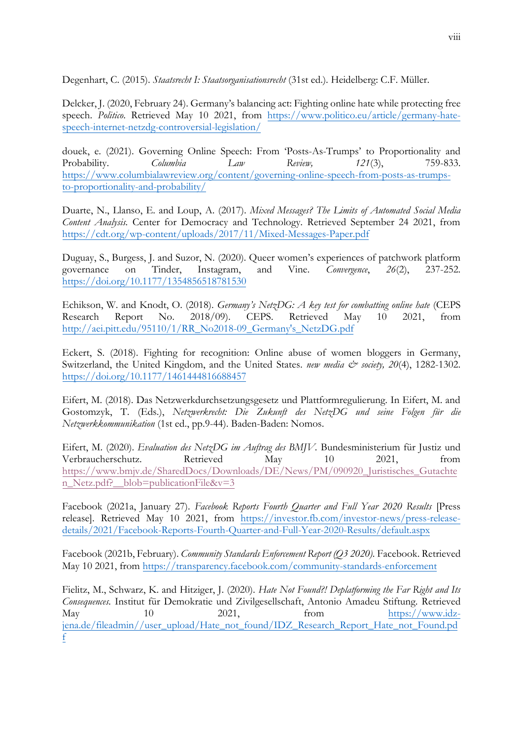Degenhart, C. (2015). *Staatsrecht I: Staatsorganisationsrecht* (31st ed.). Heidelberg: C.F. Müller.

Delcker, J. (2020, February 24). Germany's balancing act: Fighting online hate while protecting free speech. *Politico*. Retrieved May 10 2021, from [https://www.politico.eu/article/germany-hate](https://www.politico.eu/article/germany-hate-speech-internet-netzdg-controversial-legislation/)[speech-internet-netzdg-controversial-legislation/](https://www.politico.eu/article/germany-hate-speech-internet-netzdg-controversial-legislation/) 

douek, e. (2021). Governing Online Speech: From 'Posts-As-Trumps' to Proportionality and Probability. *Columbia Law Review, 121*(3), 759-833. [https://www.columbialawreview.org/content/governing-online-speech-from-posts-as-trumps](https://www.columbialawreview.org/content/governing-online-speech-from-posts-as-trumps-to-proportionality-and-probability/)[to-proportionality-and-probability/](https://www.columbialawreview.org/content/governing-online-speech-from-posts-as-trumps-to-proportionality-and-probability/)

Duarte, N., Llanso, E. and Loup, A. (2017). *Mixed Messages? The Limits of Automated Social Media Content Analysis.* Center for Democracy and Technology. Retrieved September 24 2021, from <https://cdt.org/wp-content/uploads/2017/11/Mixed-Messages-Paper.pdf>

Duguay, S., Burgess, J. and Suzor, N. (2020). Queer women's experiences of patchwork platform governance on Tinder, Instagram, and Vine. *Convergence*, *26*(2), 237-252. <https://doi.org/10.1177/1354856518781530>

Echikson, W. and Knodt, O. (2018). *Germany's NetzDG: A key test for combatting online hate* (CEPS Research Report No. 2018/09). CEPS. Retrieved May 10 2021, from [http://aei.pitt.edu/95110/1/RR\\_No2018-09\\_Germany's\\_NetzDG.pdf](http://aei.pitt.edu/95110/1/RR_No2018-09_Germany)

Eckert, S. (2018). Fighting for recognition: Online abuse of women bloggers in Germany, Switzerland, the United Kingdom, and the United States. *new media & society, 20*(4), 1282-1302. <https://doi.org/10.1177/1461444816688457>

Eifert, M. (2018). Das Netzwerkdurchsetzungsgesetz und Plattformregulierung. In Eifert, M. and Gostomzyk, T. (Eds.), *Netzwerkrecht: Die Zukunft des NetzDG und seine Folgen für die Netzwerkkommunikation* (1st ed., pp.9-44). Baden-Baden: Nomos.

Eifert, M. (2020). *Evaluation des NetzDG im Auftrag des BMJV.* Bundesministerium für Justiz und Verbraucherschutz. Retrieved May 10 2021, from [https://www.bmjv.de/SharedDocs/Downloads/DE/News/PM/090920\\_Juristisches\\_Gutachte](https://www.bmjv.de/SharedDocs/Downloads/DE/News/PM/090920_Juristisches_Gutachten_Netz.pdf?__blob=publicationFile&v=3) [n\\_Netz.pdf?\\_\\_blob=publicationFile&v=3](https://www.bmjv.de/SharedDocs/Downloads/DE/News/PM/090920_Juristisches_Gutachten_Netz.pdf?__blob=publicationFile&v=3)

Facebook (2021a, January 27). *Facebook Reports Fourth Quarter and Full Year 2020 Results* [Press release]. Retrieved May 10 2021, from [https://investor.fb.com/investor-news/press-release](https://investor.fb.com/investor-news/press-release-details/2021/Facebook-Reports-Fourth-Quarter-and-Full-Year-2020-Results/default.aspx)[details/2021/Facebook-Reports-Fourth-Quarter-and-Full-Year-2020-Results/default.aspx](https://investor.fb.com/investor-news/press-release-details/2021/Facebook-Reports-Fourth-Quarter-and-Full-Year-2020-Results/default.aspx) 

Facebook (2021b, February). *Community Standards Enforcement Report (Q3 2020).* Facebook. Retrieved May 10 2021, from<https://transparency.facebook.com/community-standards-enforcement>

Fielitz, M., Schwarz, K. and Hitziger, J. (2020). *Hate Not Found?! Deplatforming the Far Right and Its Consequences.* Institut für Demokratie und Zivilgesellschaft, Antonio Amadeu Stiftung. Retrieved May 10 2021, from [https://www.idz](https://www.idz-jena.de/fileadmin/user_upload/Hate_not_found/IDZ_Research_Report_Hate_not_Found.pdf)[jena.de/fileadmin//user\\_upload/Hate\\_not\\_found/IDZ\\_Research\\_Report\\_Hate\\_not\\_Found.pd](https://www.idz-jena.de/fileadmin/user_upload/Hate_not_found/IDZ_Research_Report_Hate_not_Found.pdf) [f](https://www.idz-jena.de/fileadmin/user_upload/Hate_not_found/IDZ_Research_Report_Hate_not_Found.pdf)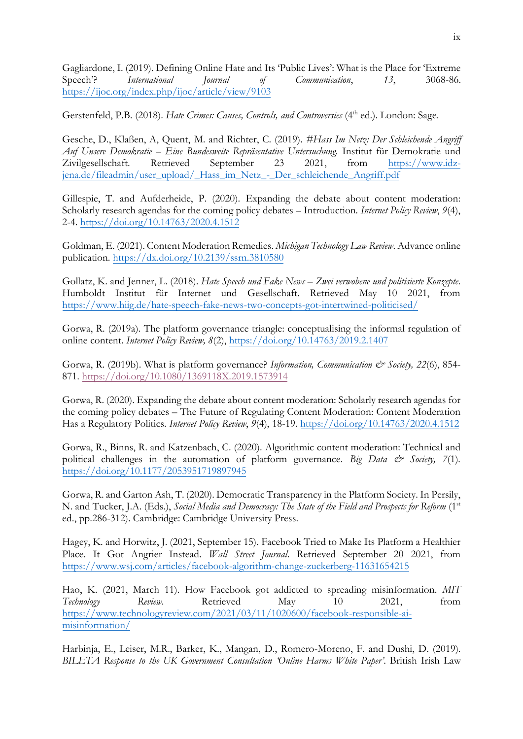Gagliardone, I. (2019). Defining Online Hate and Its 'Public Lives': What is the Place for 'Extreme Speech'? *International Journal of Communication*, *13*, 3068-86. <https://ijoc.org/index.php/ijoc/article/view/9103>

Gerstenfeld, P.B. (2018). *Hate Crimes: Causes, Controls, and Controversies* (4<sup>th</sup> ed.). London: Sage.

Gesche, D., Klaßen, A, Quent, M. and Richter, C. (2019). *#Hass Im Netz: Der Schleichende Angriff Auf Unsere Demokratie – Eine Bundesweite Repräsentative Untersuchung.* Institut für Demokratie und Zivilgesellschaft. Retrieved September 23 2021, from [https://www.idz](https://www.idz-jena.de/fileadmin/user_upload/_Hass_im_Netz_-_Der_schleichende_Angriff.pdf)[jena.de/fileadmin/user\\_upload/\\_Hass\\_im\\_Netz\\_-\\_Der\\_schleichende\\_Angriff.pdf](https://www.idz-jena.de/fileadmin/user_upload/_Hass_im_Netz_-_Der_schleichende_Angriff.pdf) 

Gillespie, T. and Aufderheide, P. (2020). Expanding the debate about content moderation: Scholarly research agendas for the coming policy debates – Introduction*. Internet Policy Review*, *9*(4), 2-4.<https://doi.org/10.14763/2020.4.1512>

Goldman, E. (2021). Content Moderation Remedies. *Michigan Technology Law Review*. Advance online publication.<https://dx.doi.org/10.2139/ssrn.3810580>

Gollatz, K. and Jenner, L. (2018). *Hate Speech und Fake News – Zwei verwobene und politisierte Konzepte*. Humboldt Institut für Internet und Gesellschaft. Retrieved May 10 2021, from <https://www.hiig.de/hate-speech-fake-news-two-concepts-got-intertwined-politicised/>

Gorwa, R. (2019a). The platform governance triangle: conceptualising the informal regulation of online content. *Internet Policy Review, 8*(2),<https://doi.org/10.14763/2019.2.1407>

Gorwa, R. (2019b). What is platform governance? *Information, Communication & Society, 22*(6), 854- 871. <https://doi.org/10.1080/1369118X.2019.1573914>

Gorwa, R. (2020). Expanding the debate about content moderation: Scholarly research agendas for the coming policy debates – The Future of Regulating Content Moderation: Content Moderation Has a Regulatory Politics*. Internet Policy Review*, *9*(4), 18-19.<https://doi.org/10.14763/2020.4.1512>

Gorwa, R., Binns, R. and Katzenbach, C. (2020). Algorithmic content moderation: Technical and political challenges in the automation of platform governance. *Big Data*  $\mathcal{C}^*$  *Society, 7*(1). <https://doi.org/10.1177/2053951719897945>

Gorwa, R. and Garton Ash, T. (2020). Democratic Transparency in the Platform Society. In Persily, N. and Tucker, J.A. (Eds.), *Social Media and Democracy: The State of the Field and Prospects for Reform* (1st ed., pp.286-312). Cambridge: Cambridge University Press.

Hagey, K. and Horwitz, J. (2021, September 15). Facebook Tried to Make Its Platform a Healthier Place. It Got Angrier Instead. *Wall Street Journal*. Retrieved September 20 2021, from <https://www.wsj.com/articles/facebook-algorithm-change-zuckerberg-11631654215>

Hao, K. (2021, March 11). How Facebook got addicted to spreading misinformation. *MIT Technology Review*. Retrieved May 10 2021, from [https://www.technologyreview.com/2021/03/11/1020600/facebook-responsible-ai](https://www.technologyreview.com/2021/03/11/1020600/facebook-responsible-ai-misinformation/)[misinformation/](https://www.technologyreview.com/2021/03/11/1020600/facebook-responsible-ai-misinformation/)

Harbinja, E., Leiser, M.R., Barker, K., Mangan, D., Romero-Moreno, F. and Dushi, D. (2019). *BILETA Response to the UK Government Consultation 'Online Harms White Paper'*. British Irish Law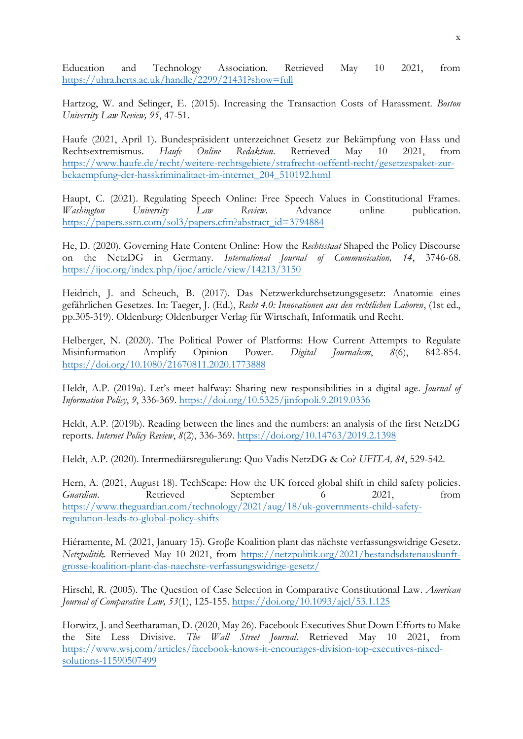Education and Technology Association. Retrieved May 10 2021, from <https://uhra.herts.ac.uk/handle/2299/21431?show=full>

Hartzog, W. and Selinger, E. (2015). Increasing the Transaction Costs of Harassment. *Boston University Law Review, 95*, 47-51.

Haufe (2021, April 1). Bundespräsident unterzeichnet Gesetz zur Bekämpfung von Hass und Rechtsextremismus. *Haufe Online Redaktion*. Retrieved May 10 2021, from [https://www.haufe.de/recht/weitere-rechtsgebiete/strafrecht-oeffentl-recht/gesetzespaket-zur](https://www.haufe.de/recht/weitere-rechtsgebiete/strafrecht-oeffentl-recht/gesetzespaket-zur-bekaempfung-der-hasskriminalitaet-im-internet_204_510192.html)[bekaempfung-der-hasskriminalitaet-im-internet\\_204\\_510192.html](https://www.haufe.de/recht/weitere-rechtsgebiete/strafrecht-oeffentl-recht/gesetzespaket-zur-bekaempfung-der-hasskriminalitaet-im-internet_204_510192.html)

Haupt, C. (2021). Regulating Speech Online: Free Speech Values in Constitutional Frames. *Washington University Law Review*. Advance online publication. [https://papers.ssrn.com/sol3/papers.cfm?abstract\\_id=3794884](https://papers.ssrn.com/sol3/papers.cfm?abstract_id=3794884) 

He, D. (2020). Governing Hate Content Online: How the *Rechtsstaat* Shaped the Policy Discourse on the NetzDG in Germany. *International Journal of Communication, 14*, 3746-68. <https://ijoc.org/index.php/ijoc/article/view/14213/3150>

Heidrich, J. and Scheuch, B. (2017). Das Netzwerkdurchsetzungsgesetz: Anatomie eines gefährlichen Gesetzes. In: Taeger, J. (Ed.), *Recht 4.0: Innovationen aus den rechtlichen Laboren*, (1st ed., pp.305-319). Oldenburg: Oldenburger Verlag für Wirtschaft, Informatik und Recht.

Helberger, N. (2020). The Political Power of Platforms: How Current Attempts to Regulate Misinformation Amplify Opinion Power. *Digital Journalism*, *8*(6), 842-854. <https://doi.org/10.1080/21670811.2020.1773888>

Heldt, A.P. (2019a). Let's meet halfway: Sharing new responsibilities in a digital age. *Journal of Information Policy*, *9*, 336-369.<https://doi.org/10.5325/jinfopoli.9.2019.0336>

Heldt, A.P. (2019b). Reading between the lines and the numbers: an analysis of the first NetzDG reports. *Internet Policy Review*, *8*(2), 336-369.<https://doi.org/10.14763/2019.2.1398>

Heldt, A.P. (2020). Intermediärsregulierung: Quo Vadis NetzDG & Co? *UFITA, 84*, 529-542.

Hern, A. (2021, August 18). TechScape: How the UK forced global shift in child safety policies. *Guardian*. Retrieved September 6 2021, from [https://www.theguardian.com/technology/2021/aug/18/uk-governments-child-safety](https://www.theguardian.com/technology/2021/aug/18/uk-governments-child-safety-regulation-leads-to-global-policy-shifts)[regulation-leads-to-global-policy-shifts](https://www.theguardian.com/technology/2021/aug/18/uk-governments-child-safety-regulation-leads-to-global-policy-shifts)

Hiéramente, M. (2021, January 15). Groβe Koalition plant das nächste verfassungswidrige Gesetz. *Netzpolitik.* Retrieved May 10 2021, from [https://netzpolitik.org/2021/bestandsdatenauskunft](https://netzpolitik.org/2021/bestandsdatenauskunft-grosse-koalition-plant-das-naechste-verfassungswidrige-gesetz/)[grosse-koalition-plant-das-naechste-verfassungswidrige-gesetz/](https://netzpolitik.org/2021/bestandsdatenauskunft-grosse-koalition-plant-das-naechste-verfassungswidrige-gesetz/) 

Hirschl, R. (2005). The Question of Case Selection in Comparative Constitutional Law. *American Journal of Comparative Law, 53*(1), 125-155.<https://doi.org/10.1093/ajcl/53.1.125>

Horwitz, J. and Seetharaman, D. (2020, May 26). Facebook Executives Shut Down Efforts to Make the Site Less Divisive. *The Wall Street Journal*. Retrieved May 10 2021, from [https://www.wsj.com/articles/facebook-knows-it-encourages-division-top-executives-nixed](https://www.wsj.com/articles/facebook-knows-it-encourages-division-top-executives-nixed-solutions-11590507499)[solutions-11590507499](https://www.wsj.com/articles/facebook-knows-it-encourages-division-top-executives-nixed-solutions-11590507499)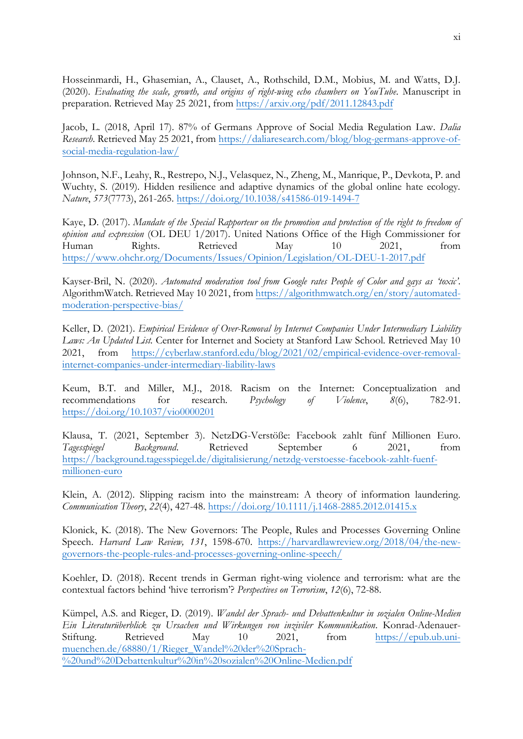Hosseinmardi, H., Ghasemian, A., Clauset, A., Rothschild, D.M., Mobius, M. and Watts, D.J. (2020). *Evaluating the scale, growth, and origins of right-wing echo chambers on YouTube*. Manuscript in preparation. Retrieved May 25 2021, from<https://arxiv.org/pdf/2011.12843.pdf>

Jacob, L. (2018, April 17). 87% of Germans Approve of Social Media Regulation Law. *Dalia Research*. Retrieved May 25 2021, from [https://daliaresearch.com/blog/blog-germans-approve-of](https://daliaresearch.com/blog/blog-germans-approve-of-social-media-regulation-law/)[social-media-regulation-law/](https://daliaresearch.com/blog/blog-germans-approve-of-social-media-regulation-law/) 

Johnson, N.F., Leahy, R., Restrepo, N.J., Velasquez, N., Zheng, M., Manrique, P., Devkota, P. and Wuchty, S. (2019). Hidden resilience and adaptive dynamics of the global online hate ecology. *Nature*, *573*(7773), 261-265.<https://doi.org/10.1038/s41586-019-1494-7>

Kaye, D. (2017). *Mandate of the Special Rapporteur on the promotion and protection of the right to freedom of opinion* and *expression* (OL DEU 1/2017). United Nations Office of the High Commissioner for Human Rights. Retrieved May 10 2021. from Human Rights. Retrieved May 10 2021, from <https://www.ohchr.org/Documents/Issues/Opinion/Legislation/OL-DEU-1-2017.pdf>

Kayser-Bril, N. (2020). *Automated moderation tool from Google rates People of Color and gays as 'toxic'*. AlgorithmWatch. Retrieved May 10 2021, from [https://algorithmwatch.org/en/story/automated](https://algorithmwatch.org/en/story/automated-moderation-perspective-bias/)[moderation-perspective-bias/](https://algorithmwatch.org/en/story/automated-moderation-perspective-bias/) 

Keller, D. (2021). *Empirical Evidence of Over-Removal by Internet Companies Under Intermediary Liability Laws: An Updated List.* Center for Internet and Society at Stanford Law School. Retrieved May 10 2021, from [https://cyberlaw.stanford.edu/blog/2021/02/empirical-evidence-over-removal](https://cyberlaw.stanford.edu/blog/2021/02/empirical-evidence-over-removal-internet-companies-under-intermediary-liability-laws)[internet-companies-under-intermediary-liability-laws](https://cyberlaw.stanford.edu/blog/2021/02/empirical-evidence-over-removal-internet-companies-under-intermediary-liability-laws) 

Keum, B.T. and Miller, M.J., 2018. Racism on the Internet: Conceptualization and recommendations for research. *Psychology of Violence*, *8*(6), 782-91. <https://doi.org/10.1037/vio0000201>

Klausa, T. (2021, September 3). NetzDG-Verstöße: Facebook zahlt fünf Millionen Euro. *Tagesspiegel Background*. Retrieved September 6 2021, from [https://background.tagesspiegel.de/digitalisierung/netzdg-verstoesse-facebook-zahlt-fuenf](https://background.tagesspiegel.de/digitalisierung/netzdg-verstoesse-facebook-zahlt-fuenf-millionen-euro)[millionen-euro](https://background.tagesspiegel.de/digitalisierung/netzdg-verstoesse-facebook-zahlt-fuenf-millionen-euro) 

Klein, A. (2012). Slipping racism into the mainstream: A theory of information laundering. *Communication Theory*, *22*(4), 427-48. <https://doi.org/10.1111/j.1468-2885.2012.01415.x>

Klonick, K. (2018). The New Governors: The People, Rules and Processes Governing Online Speech. *Harvard Law Review, 131*, 1598-670. [https://harvardlawreview.org/2018/04/the-new](https://harvardlawreview.org/2018/04/the-new-governors-the-people-rules-and-processes-governing-online-speech/)[governors-the-people-rules-and-processes-governing-online-speech/](https://harvardlawreview.org/2018/04/the-new-governors-the-people-rules-and-processes-governing-online-speech/) 

Koehler, D. (2018). Recent trends in German right-wing violence and terrorism: what are the contextual factors behind 'hive terrorism'? *Perspectives on Terrorism*, *12*(6), 72-88.

Kümpel, A.S. and Rieger, D. (2019). *Wandel der Sprach- und Debattenkultur in sozialen Online-Medien Ein Literaturüberblick zu Ursachen und Wirkungen von inziviler Kommunikation.* Konrad-AdenauerStiftung. Retrieved May 10 2021, from [https://epub.ub.uni](https://epub.ub.uni-muenchen.de/68880/1/Rieger_Wandel%20der%20Sprach-%20und%20Debattenkultur%20in%20sozialen%20Online-Medien.pdf)[muenchen.de/68880/1/Rieger\\_Wandel%20der%20Sprach-](https://epub.ub.uni-muenchen.de/68880/1/Rieger_Wandel%20der%20Sprach-%20und%20Debattenkultur%20in%20sozialen%20Online-Medien.pdf) [%20und%20Debattenkultur%20in%20sozialen%20Online-Medien.pdf](https://epub.ub.uni-muenchen.de/68880/1/Rieger_Wandel%20der%20Sprach-%20und%20Debattenkultur%20in%20sozialen%20Online-Medien.pdf)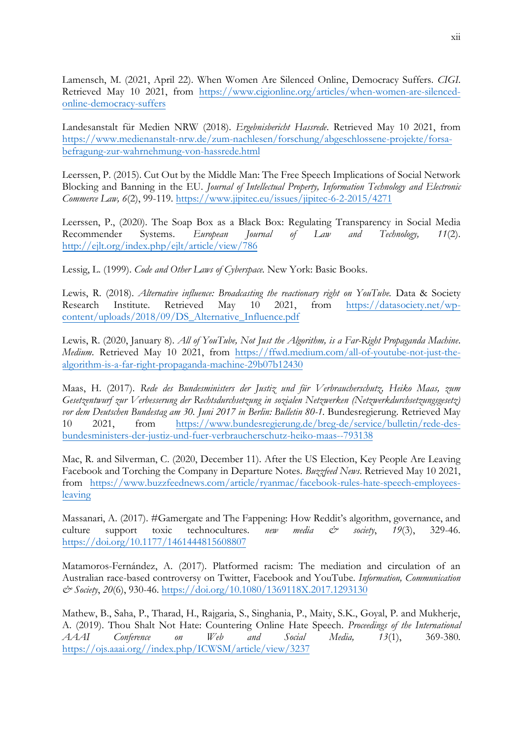Lamensch, M. (2021, April 22). When Women Are Silenced Online, Democracy Suffers. *CIGI*. Retrieved May 10 2021, from [https://www.cigionline.org/articles/when-women-are-silenced](https://www.cigionline.org/articles/when-women-are-silenced-online-democracy-suffers)[online-democracy-suffers](https://www.cigionline.org/articles/when-women-are-silenced-online-democracy-suffers)

Landesanstalt für Medien NRW (2018). *Ergebnisbericht Hassrede*. Retrieved May 10 2021, from [https://www.medienanstalt-nrw.de/zum-nachlesen/forschung/abgeschlossene-projekte/forsa](https://www.medienanstalt-nrw.de/zum-nachlesen/forschung/abgeschlossene-projekte/forsa-befragung-zur-wahrnehmung-von-hassrede.html)[befragung-zur-wahrnehmung-von-hassrede.html](https://www.medienanstalt-nrw.de/zum-nachlesen/forschung/abgeschlossene-projekte/forsa-befragung-zur-wahrnehmung-von-hassrede.html)

Leerssen, P. (2015). Cut Out by the Middle Man: The Free Speech Implications of Social Network Blocking and Banning in the EU. *Journal of Intellectual Property, Information Technology and Electronic Commerce Law, 6*(2), 99-119.<https://www.jipitec.eu/issues/jipitec-6-2-2015/4271>

Leerssen, P., (2020). The Soap Box as a Black Box: Regulating Transparency in Social Media Recommender Systems. *European Journal of Law and Technology, 11*(2). <http://ejlt.org/index.php/ejlt/article/view/786>

Lessig, L. (1999). *Code and Other Laws of Cyberspace.* New York: Basic Books.

Lewis, R. (2018). *Alternative influence: Broadcasting the reactionary right on YouTube.* Data & Society Research Institute. Retrieved May 10 2021, from [https://datasociety.net/wp](https://datasociety.net/wp-content/uploads/2018/09/DS_Alternative_Influence.pdf)[content/uploads/2018/09/DS\\_Alternative\\_Influence.pdf](https://datasociety.net/wp-content/uploads/2018/09/DS_Alternative_Influence.pdf) 

Lewis, R. (2020, January 8). *All of YouTube, Not Just the Algorithm, is a Far-Right Propaganda Machine*. *Medium*. Retrieved May 10 2021, from [https://ffwd.medium.com/all-of-youtube-not-just-the](https://ffwd.medium.com/all-of-youtube-not-just-the-algorithm-is-a-far-right-propaganda-machine-29b07b12430)[algorithm-is-a-far-right-propaganda-machine-29b07b12430](https://ffwd.medium.com/all-of-youtube-not-just-the-algorithm-is-a-far-right-propaganda-machine-29b07b12430) 

Maas, H. (2017). *Rede des Bundesministers der Justiz und für Verbraucherschutz, Heiko Maas, zum Gesetzentwurf zur Verbesserung der Rechtsdurchsetzung in sozialen Netzwerken (Netzwerkdurchsetzungsgesetz)*  vor dem Deutschen Bundestag am 30. Juni 2017 in Berlin: Bulletin 80-1. Bundesregierung. Retrieved May 10 2021, from [https://www.bundesregierung.de/breg-de/service/bulletin/rede-des](https://www.bundesregierung.de/breg-de/service/bulletin/rede-des-bundesministers-der-justiz-und-fuer-verbraucherschutz-heiko-maas--793138)[bundesministers-der-justiz-und-fuer-verbraucherschutz-heiko-maas--793138](https://www.bundesregierung.de/breg-de/service/bulletin/rede-des-bundesministers-der-justiz-und-fuer-verbraucherschutz-heiko-maas--793138) 

Mac, R. and Silverman, C. (2020, December 11). After the US Election, Key People Are Leaving Facebook and Torching the Company in Departure Notes. *Buzzfeed News*. Retrieved May 10 2021, from [https://www.buzzfeednews.com/article/ryanmac/facebook-rules-hate-speech-employees](https://www.buzzfeednews.com/article/ryanmac/facebook-rules-hate-speech-employees-leaving)[leaving](https://www.buzzfeednews.com/article/ryanmac/facebook-rules-hate-speech-employees-leaving)

Massanari, A. (2017). #Gamergate and The Fappening: How Reddit's algorithm, governance, and culture support toxic technocultures. *new media & society*, *19*(3), 329-46. <https://doi.org/10.1177/1461444815608807>

Matamoros-Fernández, A. (2017). Platformed racism: The mediation and circulation of an Australian race-based controversy on Twitter, Facebook and YouTube. *Information, Communication & Society*, *20*(6), 930-46. <https://doi.org/10.1080/1369118X.2017.1293130>

Mathew, B., Saha, P., Tharad, H., Rajgaria, S., Singhania, P., Maity, S.K., Goyal, P. and Mukherje, A. (2019). Thou Shalt Not Hate: Countering Online Hate Speech. *Proceedings of the International AAAI Conference on Web and Social Media, 13*(1), 369-380*.*  [https://ojs.aaai.org//index.php/ICWSM/article/view/3237](https://ojs.aaai.org/index.php/ICWSM/article/view/3237)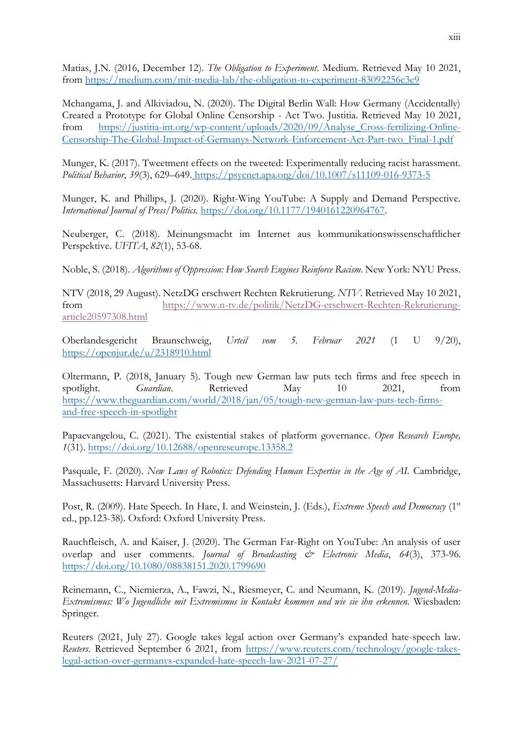Matias, J.N. (2016, December 12). *The Obligation to Experiment*. Medium. Retrieved May 10 2021, from<https://medium.com/mit-media-lab/the-obligation-to-experiment-83092256c3e9>

Mchangama, J. and Alkiviadou, N. (2020). The Digital Berlin Wall: How Germany (Accidentally) Created a Prototype for Global Online Censorship - Act Two. Justitia. Retrieved May 10 2021, from [https://justitia-int.org/wp-content/uploads/2020/09/Analyse\\_Cross-fertilizing-Online-](https://justitia-int.org/wp-content/uploads/2020/09/Analyse_Cross-fertilizing-Online-Censorship-The-Global-Impact-of-Germanys-Network-Enforcement-Act-Part-two_Final-1.pdf)[Censorship-The-Global-Impact-of-Germanys-Network-Enforcement-Act-Part-two\\_Final-1.pdf](https://justitia-int.org/wp-content/uploads/2020/09/Analyse_Cross-fertilizing-Online-Censorship-The-Global-Impact-of-Germanys-Network-Enforcement-Act-Part-two_Final-1.pdf)

Munger, K. (2017). Tweetment effects on the tweeted: Experimentally reducing racist harassment. *Political Behavior*, *39*(3), 629–649. <https://psycnet.apa.org/doi/10.1007/s11109-016-9373-5>

Munger, K. and Phillips, J. (2020). Right-Wing YouTube: A Supply and Demand Perspective. *International Journal of Press/Politics.* [https://doi.org/10.1177/1940161220964767.](https://doi.org/10.1177/1940161220964767)

Neuberger, C. (2018). Meinungsmacht im Internet aus kommunikationswissenschaftlicher Perspektive. *UFITA*, *82*(1), 53-68.

Noble, S. (2018). *Algorithms of Oppression: How Search Engines Reinforce Racism*. New York: NYU Press.

NTV (2018, 29 August). NetzDG erschwert Rechten Rekrutierung. *NTV*. Retrieved May 10 2021, from [https://www.n-tv.de/politik/NetzDG-erschwert-Rechten-Rekrutierung](https://www.n-tv.de/politik/NetzDG-erschwert-Rechten-Rekrutierung-article20597308.html)[article20597308.html](https://www.n-tv.de/politik/NetzDG-erschwert-Rechten-Rekrutierung-article20597308.html)

Oberlandesgericht Braunschweig, *Urteil vom 5. Februar 2021* (1 U 9/20), <https://openjur.de/u/2318910.html>

Oltermann, P. (2018, January 5). Tough new German law puts tech firms and free speech in spotlight. *Guardian*. Retrieved May 10 2021, from [https://www.theguardian.com/world/2018/jan/05/tough-new-german-law-puts-tech-firms](https://www.theguardian.com/world/2018/jan/05/tough-new-german-law-puts-tech-firms-and-free-speech-in-spotlight)[and-free-speech-in-spotlight](https://www.theguardian.com/world/2018/jan/05/tough-new-german-law-puts-tech-firms-and-free-speech-in-spotlight)

Papaevangelou, C. (2021). The existential stakes of platform governance. *Open Research Europe, 1*(31).<https://doi.org/10.12688/openreseurope.13358.2>

Pasquale, F. (2020). *New Laws of Robotics: Defending Human Expertise in the Age of AI.* Cambridge, Massachusetts: Harvard University Press.

Post, R. (2009). Hate Speech. In Hare, I. and Weinstein, J. (Eds.), *Extreme Speech and Democracy* (1<sup>st</sup>) ed., pp.123-38). Oxford: Oxford University Press.

Rauchfleisch, A. and Kaiser, J. (2020). The German Far-Right on YouTube: An analysis of user overlap and user comments. *Journal of Broadcasting & Electronic Media*, *64*(3), 373-96. <https://doi.org/10.1080/08838151.2020.1799690>

Reinemann, C., Niemierza, A., Fawzi, N., Riesmeyer, C. and Neumann, K. (2019). *Jugend-Media-Extremismus: Wo Jugendliche mit Extremismus in Kontakt kommen und wie sie ihn erkennen.* Wiesbaden: Springer.

Reuters (2021, July 27). Google takes legal action over Germany's expanded hate-speech law. *Reuters*. Retrieved September 6 2021, from [https://www.reuters.com/technology/google-takes](https://www.reuters.com/technology/google-takes-legal-action-over-germanys-expanded-hate-speech-law-2021-07-27/)[legal-action-over-germanys-expanded-hate-speech-law-2021-07-27/](https://www.reuters.com/technology/google-takes-legal-action-over-germanys-expanded-hate-speech-law-2021-07-27/)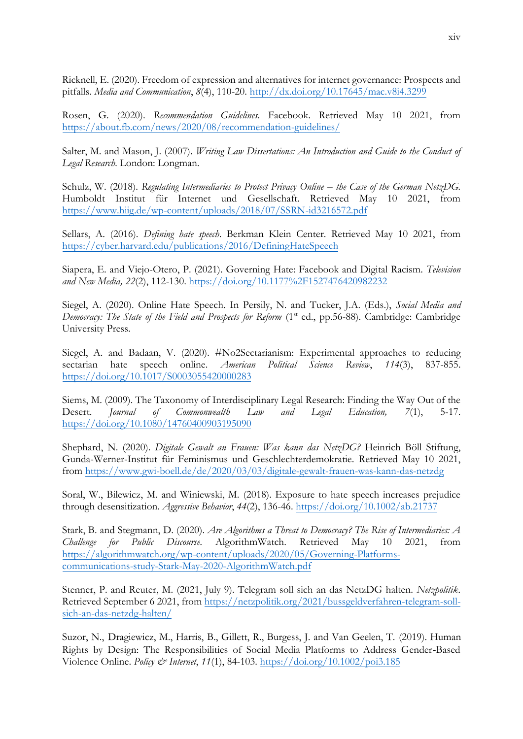Ricknell, E. (2020). Freedom of expression and alternatives for internet governance: Prospects and pitfalls. *Media and Communication*, *8*(4), 110-20.<http://dx.doi.org/10.17645/mac.v8i4.3299>

Rosen, G. (2020). *Recommendation Guidelines*. Facebook. Retrieved May 10 2021, from <https://about.fb.com/news/2020/08/recommendation-guidelines/>

Salter, M. and Mason, J. (2007). *Writing Law Dissertations: An Introduction and Guide to the Conduct of Legal Research.* London: Longman.

Schulz, W. (2018). *Regulating Intermediaries to Protect Privacy Online – the Case of the German NetzDG.* Humboldt Institut für Internet und Gesellschaft. Retrieved May 10 2021, from <https://www.hiig.de/wp-content/uploads/2018/07/SSRN-id3216572.pdf>

Sellars, A. (2016). *Defining hate speech*. Berkman Klein Center. Retrieved May 10 2021, from <https://cyber.harvard.edu/publications/2016/DefiningHateSpeech>

Siapera, E. and Viejo-Otero, P. (2021). Governing Hate: Facebook and Digital Racism. *Television and New Media, 22*(2), 112-130.<https://doi.org/10.1177%2F1527476420982232>

Siegel, A. (2020). Online Hate Speech. In Persily, N. and Tucker, J.A. (Eds.), *Social Media and Democracy: The State of the Field and Prospects for Reform* (1st ed., pp.56-88). Cambridge: Cambridge University Press.

Siegel, A. and Badaan, V. (2020). #No2Sectarianism: Experimental approaches to reducing sectarian hate speech online. *American Political Science Review*, *114*(3), 837-855. <https://doi.org/10.1017/S0003055420000283>

Siems, M. (2009). The Taxonomy of Interdisciplinary Legal Research: Finding the Way Out of the Desert. *Journal of Commonwealth Law and Legal Education, 7*(1), 5-17. <https://doi.org/10.1080/14760400903195090>

Shephard, N. (2020). *Digitale Gewalt an Frauen: Was kann das NetzDG?* Heinrich Böll Stiftung, Gunda-Werner-Institut für Feminismus und Geschlechterdemokratie. Retrieved May 10 2021, from<https://www.gwi-boell.de/de/2020/03/03/digitale-gewalt-frauen-was-kann-das-netzdg>

Soral, W., Bilewicz, M. and Winiewski, M. (2018). Exposure to hate speech increases prejudice through desensitization. *Aggressive Behavior*, *44*(2), 136-46. <https://doi.org/10.1002/ab.21737>

Stark, B. and Stegmann, D. (2020). *Are Algorithms a Threat to Democracy? The Rise of Intermediaries: A Challenge for Public Discourse.* AlgorithmWatch. Retrieved May 10 2021, from [https://algorithmwatch.org/wp-content/uploads/2020/05/Governing-Platforms](https://algorithmwatch.org/wp-content/uploads/2020/05/Governing-Platforms-communications-study-Stark-May-2020-AlgorithmWatch.pdf)[communications-study-Stark-May-2020-AlgorithmWatch.pdf](https://algorithmwatch.org/wp-content/uploads/2020/05/Governing-Platforms-communications-study-Stark-May-2020-AlgorithmWatch.pdf)

Stenner, P. and Reuter, M. (2021, July 9). Telegram soll sich an das NetzDG halten. *Netzpolitik*. Retrieved September 6 2021, from [https://netzpolitik.org/2021/bussgeldverfahren-telegram-soll](https://netzpolitik.org/2021/bussgeldverfahren-telegram-soll-sich-an-das-netzdg-halten/)[sich-an-das-netzdg-halten/](https://netzpolitik.org/2021/bussgeldverfahren-telegram-soll-sich-an-das-netzdg-halten/)

Suzor, N., Dragiewicz, M., Harris, B., Gillett, R., Burgess, J. and Van Geelen, T. (2019). Human Rights by Design: The Responsibilities of Social Media Platforms to Address Gender‐Based Violence Online. *Policy & Internet*, *11*(1), 84-103. <https://doi.org/10.1002/poi3.185>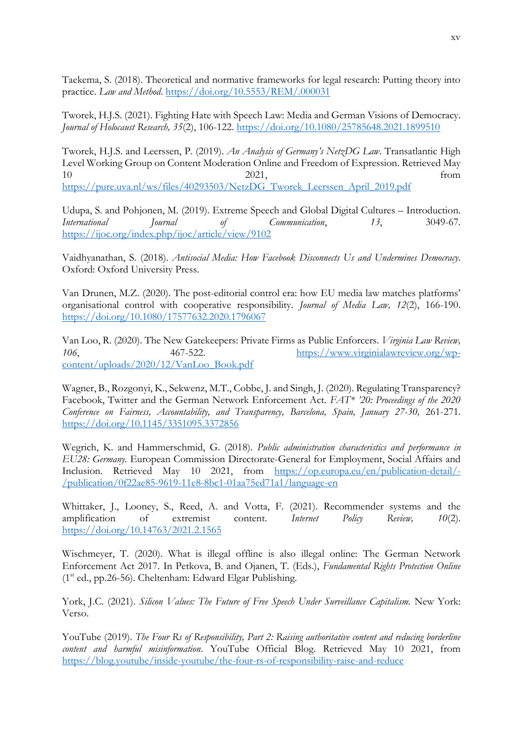Taekema, S. (2018). Theoretical and normative frameworks for legal research: Putting theory into practice. *Law and Method*.<https://doi.org/10.5553/REM/.000031>

Tworek, H.J.S. (2021). Fighting Hate with Speech Law: Media and German Visions of Democracy. *Journal of Holocaust Research, 35*(2), 106-122.<https://doi.org/10.1080/25785648.2021.1899510>

Tworek, H.J.S. and Leerssen, P. (2019). *An Analysis of Germany's NetzDG Law*. Transatlantic High Level Working Group on Content Moderation Online and Freedom of Expression. Retrieved May 10 2021, from [https://pure.uva.nl/ws/files/40293503/NetzDG\\_Tworek\\_Leerssen\\_April\\_2019.pdf](https://pure.uva.nl/ws/files/40293503/NetzDG_Tworek_Leerssen_April_2019.pdf)

Udupa, S. and Pohjonen, M. (2019). Extreme Speech and Global Digital Cultures – Introduction. *International Journal of Communication*, *13*, 3049-67. <https://ijoc.org/index.php/ijoc/article/view/9102>

Vaidhyanathan, S. (2018). *Antisocial Media: How Facebook Disconnects Us and Undermines Democracy*. Oxford: Oxford University Press.

Van Drunen, M.Z. (2020). The post-editorial control era: how EU media law matches platforms' organisational control with cooperative responsibility. *Journal of Media Law, 12*(2), 166-190. <https://doi.org/10.1080/17577632.2020.1796067>

Van Loo, R. (2020). The New Gatekeepers: Private Firms as Public Enforcers. *Virginia Law Review, 106*, 467-522. [https://www.virginialawreview.org/wp](https://www.virginialawreview.org/wp-content/uploads/2020/12/VanLoo_Book.pdf)[content/uploads/2020/12/VanLoo\\_Book.pdf](https://www.virginialawreview.org/wp-content/uploads/2020/12/VanLoo_Book.pdf)

Wagner, B., Rozgonyi, K., Sekwenz, M.T., Cobbe, J. and Singh, J. (2020). Regulating Transparency? Facebook, Twitter and the German Network Enforcement Act. *FAT\* '20: Proceedings of the 2020 Conference on Fairness, Accountability, and Transparency, Barcelona, Spain, January 27-30,* 261-271. <https://doi.org/10.1145/3351095.3372856>

Wegrich, K. and Hammerschmid, G. (2018). *Public administration characteristics and performance in EU28: Germany.* European Commission Directorate-General for Employment, Social Affairs and Inclusion. Retrieved May 10 2021, from [https://op.europa.eu/en/publication-detail/-](https://op.europa.eu/en/publication-detail/-/publication/0f22ae85-9619-11e8-8bc1-01aa75ed71a1/language-en) [/publication/0f22ae85-9619-11e8-8bc1-01aa75ed71a1/language-en](https://op.europa.eu/en/publication-detail/-/publication/0f22ae85-9619-11e8-8bc1-01aa75ed71a1/language-en)

Whittaker, J., Looney, S., Reed, A. and Votta, F. (2021). Recommender systems and the amplification of extremist content. *Internet Policy Review, 10*(2). <https://doi.org/10.14763/2021.2.1565>

Wischmeyer, T. (2020). What is illegal offline is also illegal online: The German Network Enforcement Act 2017. In Petkova, B. and Ojanen, T. (Eds.), *Fundamental Rights Protection Online*  $(1<sup>st</sup>$  ed., pp.26-56). Cheltenham: Edward Elgar Publishing.

York, J.C. (2021). *Silicon Values: The Future of Free Speech Under Surveillance Capitalism*. New York: Verso.

YouTube (2019). *The Four Rs of Responsibility, Part 2: Raising authoritative content and reducing borderline content and harmful misinformation*. YouTube Official Blog. Retrieved May 10 2021, from <https://blog.youtube/inside-youtube/the-four-rs-of-responsibility-raise-and-reduce>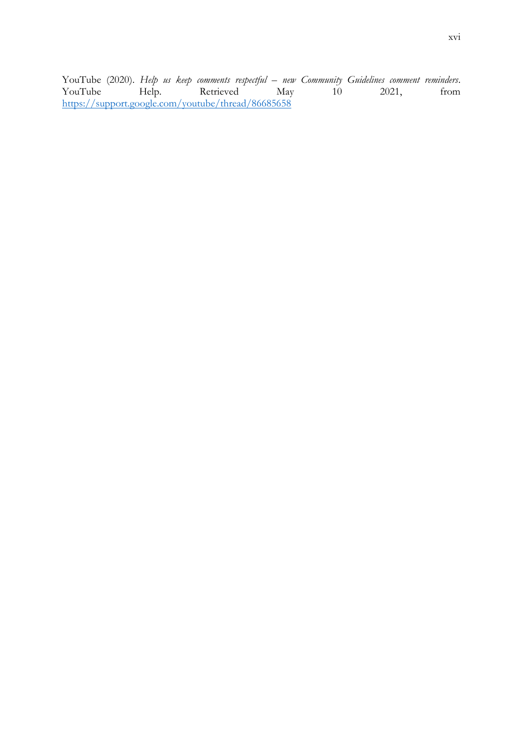YouTube (2020). *Help us keep comments respectful – new Community Guidelines comment reminders*.<br>YouTube Help. Retrieved May 10 2021, from Retrieved <https://support.google.com/youtube/thread/86685658>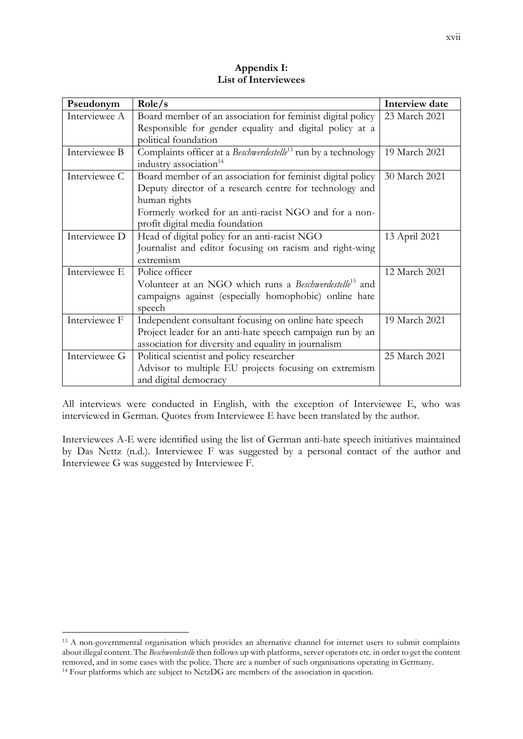| Pseudonym     | Role/s                                                                     | Interview date |
|---------------|----------------------------------------------------------------------------|----------------|
| Interviewee A | Board member of an association for feminist digital policy                 | 23 March 2021  |
|               | Responsible for gender equality and digital policy at a                    |                |
|               | political foundation                                                       |                |
| Interviewee B | Complaints officer at a Beschwerdestelle <sup>13</sup> run by a technology | 19 March 2021  |
|               | industry association <sup>14</sup>                                         |                |
| Interviewee C | Board member of an association for feminist digital policy                 | 30 March 2021  |
|               | Deputy director of a research centre for technology and                    |                |
|               | human rights                                                               |                |
|               | Formerly worked for an anti-racist NGO and for a non-                      |                |
|               | profit digital media foundation                                            |                |
| Interviewee D | Head of digital policy for an anti-racist NGO                              | 13 April 2021  |
|               | Journalist and editor focusing on racism and right-wing                    |                |
|               | extremism                                                                  |                |
| Interviewee E | Police officer                                                             | 12 March 2021  |
|               | Volunteer at an NGO which runs a Beschwerdestelle <sup>15</sup> and        |                |
|               | campaigns against (especially homophobic) online hate                      |                |
|               | speech                                                                     |                |
| Interviewee F | Independent consultant focusing on online hate speech                      | 19 March 2021  |
|               | Project leader for an anti-hate speech campaign run by an                  |                |
|               | association for diversity and equality in journalism                       |                |
| Interviewee G | Political scientist and policy researcher                                  | 25 March 2021  |
|               | Advisor to multiple EU projects focusing on extremism                      |                |
|               | and digital democracy                                                      |                |

# **Appendix I: List of Interviewees**

All interviews were conducted in English, with the exception of Interviewee E, who was interviewed in German. Quotes from Interviewee E have been translated by the author.

Interviewees A-E were identified using the list of German anti-hate speech initiatives maintained by Das Nettz (n.d.). Interviewee F was suggested by a personal contact of the author and Interviewee G was suggested by Interviewee F.

<sup>&</sup>lt;sup>13</sup> A non-governmental organisation which provides an alternative channel for internet users to submit complaints about illegal content. The *Beschwerdestelle* then follows up with platforms, server operators etc. in order to get the content removed, and in some cases with the police. There are a number of such organisations operating in Germany. <sup>14</sup> Four platforms which are subject to NetzDG are members of the association in question.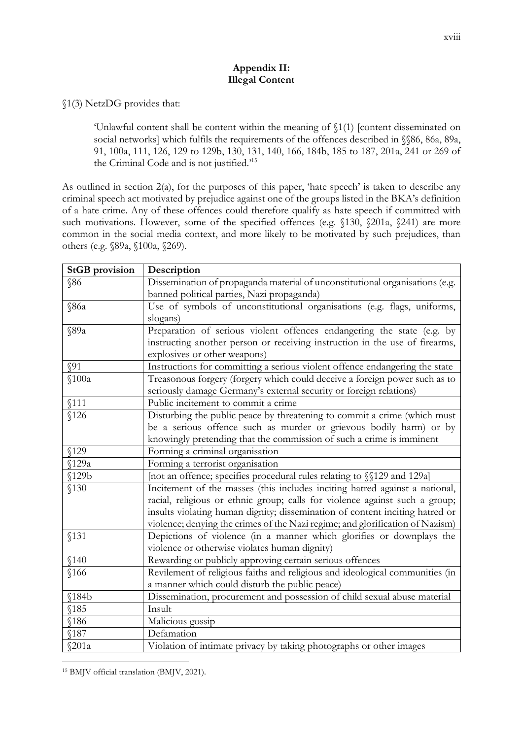## **Appendix II: Illegal Content**

## §1(3) NetzDG provides that:

'Unlawful content shall be content within the meaning of §1(1) [content disseminated on social networks] which fulfils the requirements of the offences described in §§86, 86a, 89a, 91, 100a, 111, 126, 129 to 129b, 130, 131, 140, 166, 184b, 185 to 187, 201a, 241 or 269 of the Criminal Code and is not justified.'<sup>15</sup>

As outlined in section 2(a), for the purposes of this paper, 'hate speech' is taken to describe any criminal speech act motivated by prejudice against one of the groups listed in the BKA's definition of a hate crime. Any of these offences could therefore qualify as hate speech if committed with such motivations. However, some of the specified offences (e.g. §130, §201a, §241) are more common in the social media context, and more likely to be motivated by such prejudices, than others (e.g. §89a, §100a, §269).

| <b>StGB</b> provision | Description                                                                   |
|-----------------------|-------------------------------------------------------------------------------|
| <b>§86</b>            | Dissemination of propaganda material of unconstitutional organisations (e.g.  |
|                       | banned political parties, Nazi propaganda)                                    |
| \$86a                 | Use of symbols of unconstitutional organisations (e.g. flags, uniforms,       |
|                       | slogans)                                                                      |
| \$89a                 | Preparation of serious violent offences endangering the state (e.g. by        |
|                       | instructing another person or receiving instruction in the use of firearms,   |
|                       | explosives or other weapons)                                                  |
| \$91                  | Instructions for committing a serious violent offence endangering the state   |
| \$100a                | Treasonous forgery (forgery which could deceive a foreign power such as to    |
|                       | seriously damage Germany's external security or foreign relations)            |
| \$111                 | Public incitement to commit a crime                                           |
| \$126                 | Disturbing the public peace by threatening to commit a crime (which must      |
|                       | be a serious offence such as murder or grievous bodily harm) or by            |
|                       | knowingly pretending that the commission of such a crime is imminent          |
| \$129                 | Forming a criminal organisation                                               |
| \$129a                | Forming a terrorist organisation                                              |
| \$129b                | [not an offence; specifies procedural rules relating to §§129 and 129a]       |
| \$130                 | Incitement of the masses (this includes inciting hatred against a national,   |
|                       | racial, religious or ethnic group; calls for violence against such a group;   |
|                       | insults violating human dignity; dissemination of content inciting hatred or  |
|                       | violence; denying the crimes of the Nazi regime; and glorification of Nazism) |
| \$131                 | Depictions of violence (in a manner which glorifies or downplays the          |
|                       | violence or otherwise violates human dignity)                                 |
| \$140                 | Rewarding or publicly approving certain serious offences                      |
| \$166                 | Revilement of religious faiths and religious and ideological communities (in  |
|                       | a manner which could disturb the public peace)                                |
| \$184b                | Dissemination, procurement and possession of child sexual abuse material      |
| \$185                 | Insult                                                                        |
| \$186                 | Malicious gossip                                                              |
| \$187                 | Defamation                                                                    |
| \$201a                | Violation of intimate privacy by taking photographs or other images           |

<sup>15</sup> BMJV official translation (BMJV, 2021).